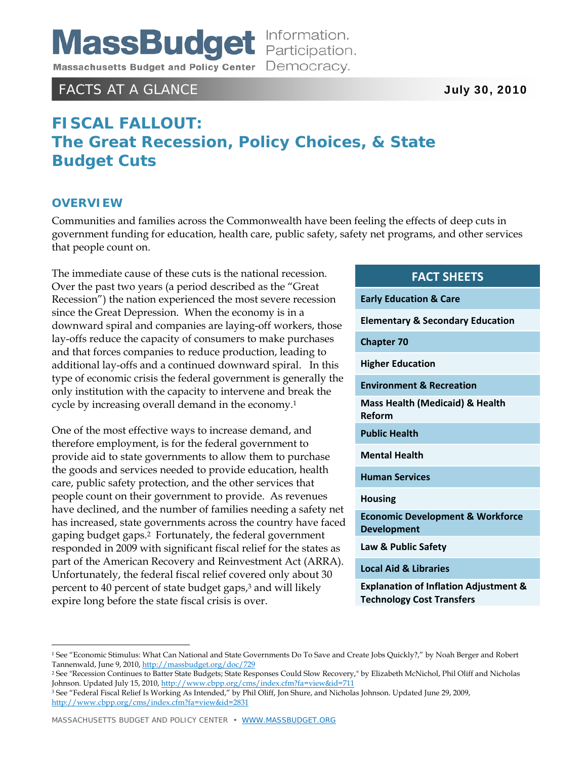

### FACTS AT A GLANCE **July 30, 2010**

# **FISCAL FALLOUT: The Great Recession, Policy Choices, & State Budget Cuts**

### **OVERVIEW**

 $\overline{a}$ 

Communities and families across the Commonwealth have been feeling the effects of deep cuts in government funding for education, health care, public safety, safety net programs, and other services that people count on.

The immediate cause of these cuts is the national recession. Over the past two years (a period described as the "Great Recession") the nation experienced the most severe recession since the Great Depression. When the economy is in a downward spiral and companies are laying-off workers, those lay-offs reduce the capacity of consumers to make purchases and that forces companies to reduce production, leading to additional lay-offs and a continued downward spiral. In this type of economic crisis the federal government is generally the only institution with the capacity to intervene and break the cycle by increasing overall demand in the economy.<sup>1</sup>

One of the most effective ways to increase demand, and therefore employment, is for the federal government to provide aid to state governments to allow them to purchase the goods and services needed to provide education, health care, public safety protection, and the other services that people count on their government to provide. As revenues have declined, and the number of families needing a safety net has increased, state governments across the country have faced gaping budget gaps.2 Fortunately, the federal government responded in 2009 with significant fiscal relief for the states as part of the American Recovery and Reinvestment Act (ARRA). Unfortunately, the federal fiscal relief covered only about 30 percent to 40 percent of state budget gaps,3 and will likely expire long before the state fiscal crisis is over.

### **FACT SHEETS**

**Early Education & Care Elementary & Secondary Education Chapter 70 Higher Education Environment & Recreation Mass Health (Medicaid) & Health Reform Public Health Mental Health Human Services Housing Economic Development & Workforce Development Law & Public Safety Local Aid & Libraries**

**Explanation of Inflation Adjustment & Technology Cost Transfers**

<sup>1</sup> See "Economic Stimulus: What Can National and State Governments Do To Save and Create Jobs Quickly?," by Noah Berger and Robert Tannenwald, June 9, 2010, http://massbudget.org/doc/729

<sup>2</sup> See "Recession Continues to Batter State Budgets; State Responses Could Slow Recovery," by Elizabeth McNichol, Phil Oliff and Nicholas Johnson. Updated July 15, 2010, http://www.cbpp.org/cms/index.cfm?fa=view&id=711

<sup>3</sup> See "Federal Fiscal Relief Is Working As Intended," by Phil Oliff, Jon Shure, and Nicholas Johnson. Updated June 29, 2009, http://www.cbpp.org/cms/index.cfm?fa=view&id=2831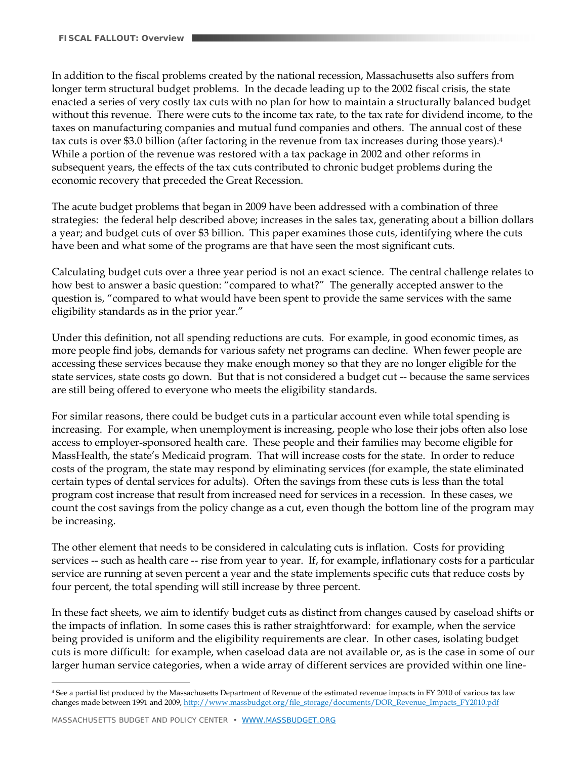In addition to the fiscal problems created by the national recession, Massachusetts also suffers from longer term structural budget problems. In the decade leading up to the 2002 fiscal crisis, the state enacted a series of very costly tax cuts with no plan for how to maintain a structurally balanced budget without this revenue. There were cuts to the income tax rate, to the tax rate for dividend income, to the taxes on manufacturing companies and mutual fund companies and others. The annual cost of these tax cuts is over \$3.0 billion (after factoring in the revenue from tax increases during those years).4 While a portion of the revenue was restored with a tax package in 2002 and other reforms in subsequent years, the effects of the tax cuts contributed to chronic budget problems during the economic recovery that preceded the Great Recession.

The acute budget problems that began in 2009 have been addressed with a combination of three strategies: the federal help described above; increases in the sales tax, generating about a billion dollars a year; and budget cuts of over \$3 billion. This paper examines those cuts, identifying where the cuts have been and what some of the programs are that have seen the most significant cuts.

Calculating budget cuts over a three year period is not an exact science. The central challenge relates to how best to answer a basic question: "compared to what?" The generally accepted answer to the question is, "compared to what would have been spent to provide the same services with the same eligibility standards as in the prior year."

Under this definition, not all spending reductions are cuts. For example, in good economic times, as more people find jobs, demands for various safety net programs can decline. When fewer people are accessing these services because they make enough money so that they are no longer eligible for the state services, state costs go down. But that is not considered a budget cut -- because the same services are still being offered to everyone who meets the eligibility standards.

For similar reasons, there could be budget cuts in a particular account even while total spending is increasing. For example, when unemployment is increasing, people who lose their jobs often also lose access to employer-sponsored health care. These people and their families may become eligible for MassHealth, the state's Medicaid program. That will increase costs for the state. In order to reduce costs of the program, the state may respond by eliminating services (for example, the state eliminated certain types of dental services for adults). Often the savings from these cuts is less than the total program cost increase that result from increased need for services in a recession. In these cases, we count the cost savings from the policy change as a cut, even though the bottom line of the program may be increasing.

The other element that needs to be considered in calculating cuts is inflation. Costs for providing services -- such as health care -- rise from year to year. If, for example, inflationary costs for a particular service are running at seven percent a year and the state implements specific cuts that reduce costs by four percent, the total spending will still increase by three percent.

In these fact sheets, we aim to identify budget cuts as distinct from changes caused by caseload shifts or the impacts of inflation. In some cases this is rather straightforward: for example, when the service being provided is uniform and the eligibility requirements are clear. In other cases, isolating budget cuts is more difficult: for example, when caseload data are not available or, as is the case in some of our larger human service categories, when a wide array of different services are provided within one line-

<u>.</u>

<sup>4</sup> See a partial list produced by the Massachusetts Department of Revenue of the estimated revenue impacts in FY 2010 of various tax law changes made between 1991 and 2009, http://www.massbudget.org/file\_storage/documents/DOR\_Revenue\_Impacts\_FY2010.pdf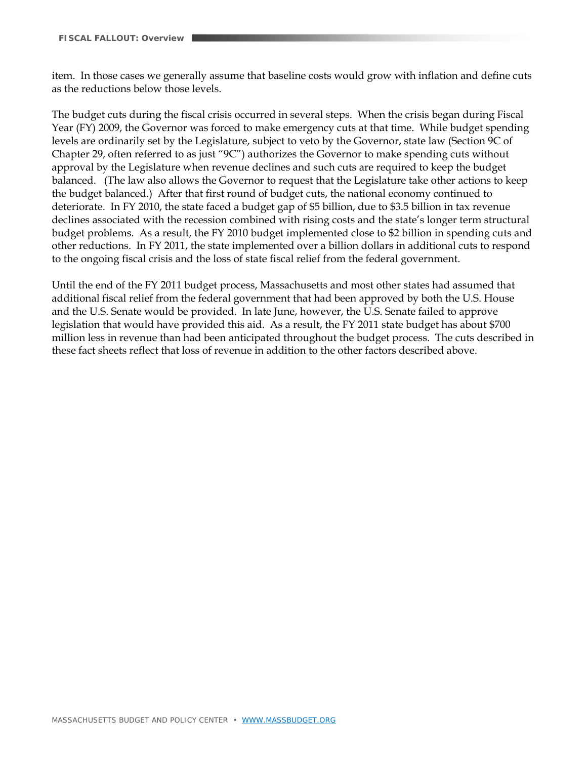item. In those cases we generally assume that baseline costs would grow with inflation and define cuts as the reductions below those levels.

The budget cuts during the fiscal crisis occurred in several steps. When the crisis began during Fiscal Year (FY) 2009, the Governor was forced to make emergency cuts at that time. While budget spending levels are ordinarily set by the Legislature, subject to veto by the Governor, state law (Section 9C of Chapter 29, often referred to as just "9C") authorizes the Governor to make spending cuts without approval by the Legislature when revenue declines and such cuts are required to keep the budget balanced. (The law also allows the Governor to request that the Legislature take other actions to keep the budget balanced.) After that first round of budget cuts, the national economy continued to deteriorate. In FY 2010, the state faced a budget gap of \$5 billion, due to \$3.5 billion in tax revenue declines associated with the recession combined with rising costs and the state's longer term structural budget problems. As a result, the FY 2010 budget implemented close to \$2 billion in spending cuts and other reductions. In FY 2011, the state implemented over a billion dollars in additional cuts to respond to the ongoing fiscal crisis and the loss of state fiscal relief from the federal government.

Until the end of the FY 2011 budget process, Massachusetts and most other states had assumed that additional fiscal relief from the federal government that had been approved by both the U.S. House and the U.S. Senate would be provided. In late June, however, the U.S. Senate failed to approve legislation that would have provided this aid. As a result, the FY 2011 state budget has about \$700 million less in revenue than had been anticipated throughout the budget process. The cuts described in these fact sheets reflect that loss of revenue in addition to the other factors described above.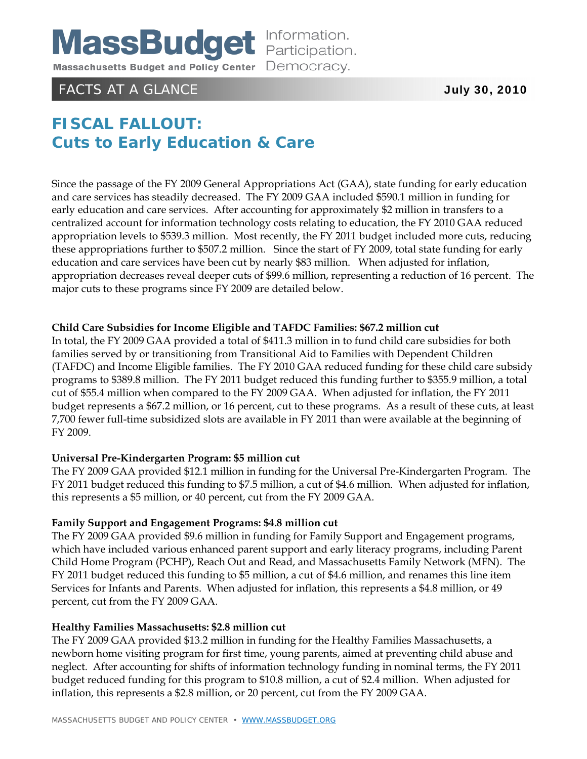

# FACTS AT A GLANCE **July 30, 2010**

# **FISCAL FALLOUT: Cuts to Early Education & Care**

Since the passage of the FY 2009 General Appropriations Act (GAA), state funding for early education and care services has steadily decreased. The FY 2009 GAA included \$590.1 million in funding for early education and care services. After accounting for approximately \$2 million in transfers to a centralized account for information technology costs relating to education, the FY 2010 GAA reduced appropriation levels to \$539.3 million. Most recently, the FY 2011 budget included more cuts, reducing these appropriations further to \$507.2 million. Since the start of FY 2009, total state funding for early education and care services have been cut by nearly \$83 million. When adjusted for inflation, appropriation decreases reveal deeper cuts of \$99.6 million, representing a reduction of 16 percent. The major cuts to these programs since FY 2009 are detailed below.

#### **Child Care Subsidies for Income Eligible and TAFDC Families: \$67.2 million cut**

In total, the FY 2009 GAA provided a total of \$411.3 million in to fund child care subsidies for both families served by or transitioning from Transitional Aid to Families with Dependent Children (TAFDC) and Income Eligible families. The FY 2010 GAA reduced funding for these child care subsidy programs to \$389.8 million. The FY 2011 budget reduced this funding further to \$355.9 million, a total cut of \$55.4 million when compared to the FY 2009 GAA. When adjusted for inflation, the FY 2011 budget represents a \$67.2 million, or 16 percent, cut to these programs. As a result of these cuts, at least 7,700 fewer full-time subsidized slots are available in FY 2011 than were available at the beginning of FY 2009.

#### **Universal Pre-Kindergarten Program: \$5 million cut**

The FY 2009 GAA provided \$12.1 million in funding for the Universal Pre-Kindergarten Program. The FY 2011 budget reduced this funding to \$7.5 million, a cut of \$4.6 million. When adjusted for inflation, this represents a \$5 million, or 40 percent, cut from the FY 2009 GAA.

#### **Family Support and Engagement Programs: \$4.8 million cut**

The FY 2009 GAA provided \$9.6 million in funding for Family Support and Engagement programs, which have included various enhanced parent support and early literacy programs, including Parent Child Home Program (PCHP), Reach Out and Read, and Massachusetts Family Network (MFN). The FY 2011 budget reduced this funding to \$5 million, a cut of \$4.6 million, and renames this line item Services for Infants and Parents. When adjusted for inflation, this represents a \$4.8 million, or 49 percent, cut from the FY 2009 GAA.

#### **Healthy Families Massachusetts: \$2.8 million cut**

The FY 2009 GAA provided \$13.2 million in funding for the Healthy Families Massachusetts, a newborn home visiting program for first time, young parents, aimed at preventing child abuse and neglect. After accounting for shifts of information technology funding in nominal terms, the FY 2011 budget reduced funding for this program to \$10.8 million, a cut of \$2.4 million. When adjusted for inflation, this represents a \$2.8 million, or 20 percent, cut from the FY 2009 GAA.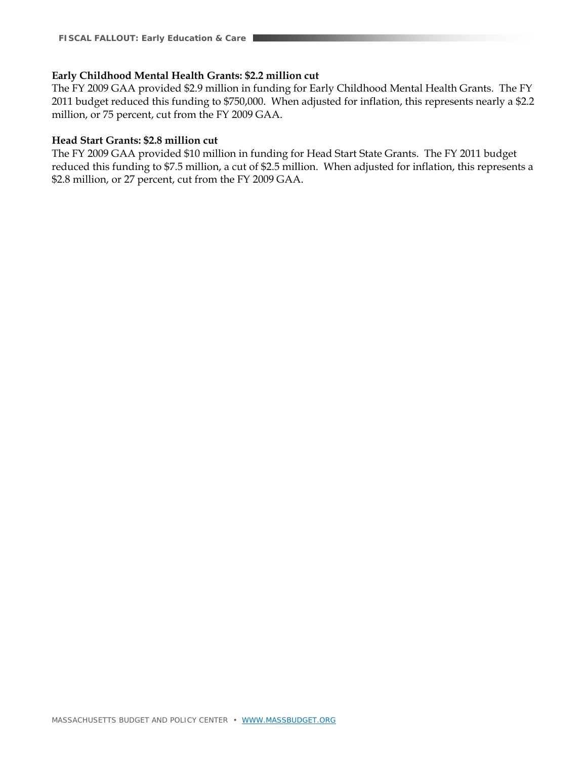#### **Early Childhood Mental Health Grants: \$2.2 million cut**

The FY 2009 GAA provided \$2.9 million in funding for Early Childhood Mental Health Grants. The FY 2011 budget reduced this funding to \$750,000. When adjusted for inflation, this represents nearly a \$2.2 million, or 75 percent, cut from the FY 2009 GAA.

#### **Head Start Grants: \$2.8 million cut**

The FY 2009 GAA provided \$10 million in funding for Head Start State Grants. The FY 2011 budget reduced this funding to \$7.5 million, a cut of \$2.5 million. When adjusted for inflation, this represents a \$2.8 million, or 27 percent, cut from the FY 2009 GAA.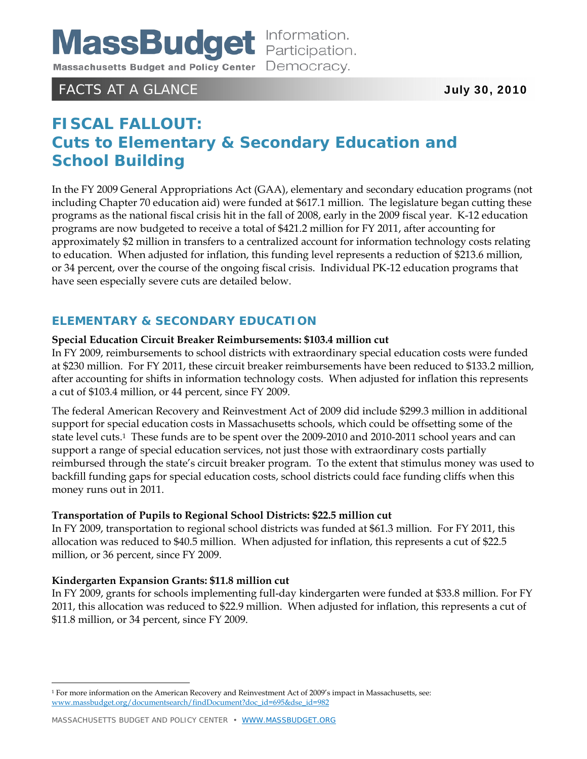

### FACTS AT A GLANCE **July 30, 2010**

# **FISCAL FALLOUT: Cuts to Elementary & Secondary Education and School Building**

In the FY 2009 General Appropriations Act (GAA), elementary and secondary education programs (not including Chapter 70 education aid) were funded at \$617.1 million. The legislature began cutting these programs as the national fiscal crisis hit in the fall of 2008, early in the 2009 fiscal year. K-12 education programs are now budgeted to receive a total of \$421.2 million for FY 2011, after accounting for approximately \$2 million in transfers to a centralized account for information technology costs relating to education. When adjusted for inflation, this funding level represents a reduction of \$213.6 million, or 34 percent, over the course of the ongoing fiscal crisis. Individual PK-12 education programs that have seen especially severe cuts are detailed below.

### **ELEMENTARY & SECONDARY EDUCATION**

#### **Special Education Circuit Breaker Reimbursements: \$103.4 million cut**

In FY 2009, reimbursements to school districts with extraordinary special education costs were funded at \$230 million. For FY 2011, these circuit breaker reimbursements have been reduced to \$133.2 million, after accounting for shifts in information technology costs. When adjusted for inflation this represents a cut of \$103.4 million, or 44 percent, since FY 2009.

The federal American Recovery and Reinvestment Act of 2009 did include \$299.3 million in additional support for special education costs in Massachusetts schools, which could be offsetting some of the state level cuts.1 These funds are to be spent over the 2009-2010 and 2010-2011 school years and can support a range of special education services, not just those with extraordinary costs partially reimbursed through the state's circuit breaker program. To the extent that stimulus money was used to backfill funding gaps for special education costs, school districts could face funding cliffs when this money runs out in 2011.

#### **Transportation of Pupils to Regional School Districts: \$22.5 million cut**

In FY 2009, transportation to regional school districts was funded at \$61.3 million. For FY 2011, this allocation was reduced to \$40.5 million. When adjusted for inflation, this represents a cut of \$22.5 million, or 36 percent, since FY 2009.

#### **Kindergarten Expansion Grants: \$11.8 million cut**

 $\overline{a}$ 

In FY 2009, grants for schools implementing full-day kindergarten were funded at \$33.8 million. For FY 2011, this allocation was reduced to \$22.9 million. When adjusted for inflation, this represents a cut of \$11.8 million, or 34 percent, since FY 2009.

<sup>1</sup> For more information on the American Recovery and Reinvestment Act of 2009's impact in Massachusetts, see: www.massbudget.org/documentsearch/findDocument?doc\_id=695&dse\_id=982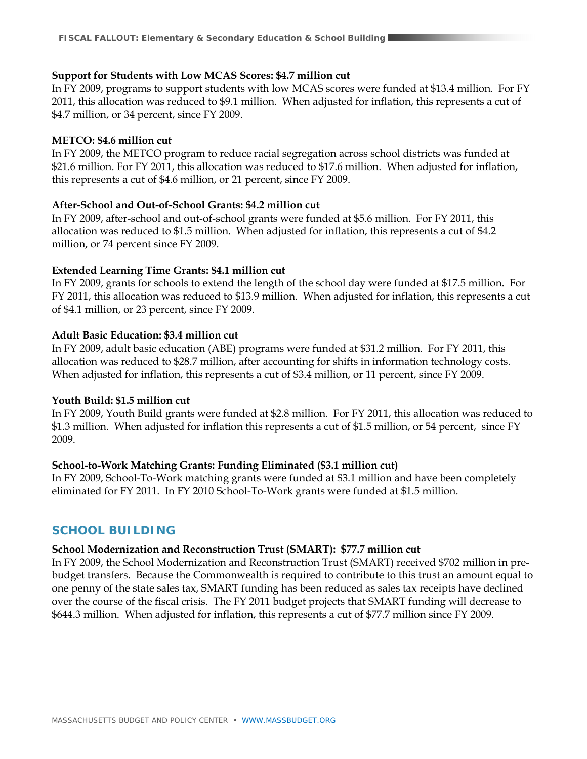#### **Support for Students with Low MCAS Scores: \$4.7 million cut**

In FY 2009, programs to support students with low MCAS scores were funded at \$13.4 million. For FY 2011, this allocation was reduced to \$9.1 million. When adjusted for inflation, this represents a cut of \$4.7 million, or 34 percent, since FY 2009.

#### **METCO: \$4.6 million cut**

In FY 2009, the METCO program to reduce racial segregation across school districts was funded at \$21.6 million. For FY 2011, this allocation was reduced to \$17.6 million. When adjusted for inflation, this represents a cut of \$4.6 million, or 21 percent, since FY 2009.

#### **After-School and Out-of-School Grants: \$4.2 million cut**

In FY 2009, after-school and out-of-school grants were funded at \$5.6 million. For FY 2011, this allocation was reduced to \$1.5 million. When adjusted for inflation, this represents a cut of \$4.2 million, or 74 percent since FY 2009.

#### **Extended Learning Time Grants: \$4.1 million cut**

In FY 2009, grants for schools to extend the length of the school day were funded at \$17.5 million. For FY 2011, this allocation was reduced to \$13.9 million. When adjusted for inflation, this represents a cut of \$4.1 million, or 23 percent, since FY 2009.

#### **Adult Basic Education: \$3.4 million cut**

In FY 2009, adult basic education (ABE) programs were funded at \$31.2 million. For FY 2011, this allocation was reduced to \$28.7 million, after accounting for shifts in information technology costs. When adjusted for inflation, this represents a cut of \$3.4 million, or 11 percent, since FY 2009.

#### **Youth Build: \$1.5 million cut**

In FY 2009, Youth Build grants were funded at \$2.8 million. For FY 2011, this allocation was reduced to \$1.3 million. When adjusted for inflation this represents a cut of \$1.5 million, or 54 percent, since FY 2009.

#### **School-to-Work Matching Grants: Funding Eliminated (\$3.1 million cut)**

In FY 2009, School-To-Work matching grants were funded at \$3.1 million and have been completely eliminated for FY 2011. In FY 2010 School-To-Work grants were funded at \$1.5 million.

### **SCHOOL BUILDING**

#### **School Modernization and Reconstruction Trust (SMART): \$77.7 million cut**

In FY 2009, the School Modernization and Reconstruction Trust (SMART) received \$702 million in prebudget transfers. Because the Commonwealth is required to contribute to this trust an amount equal to one penny of the state sales tax, SMART funding has been reduced as sales tax receipts have declined over the course of the fiscal crisis. The FY 2011 budget projects that SMART funding will decrease to \$644.3 million. When adjusted for inflation, this represents a cut of \$77.7 million since FY 2009.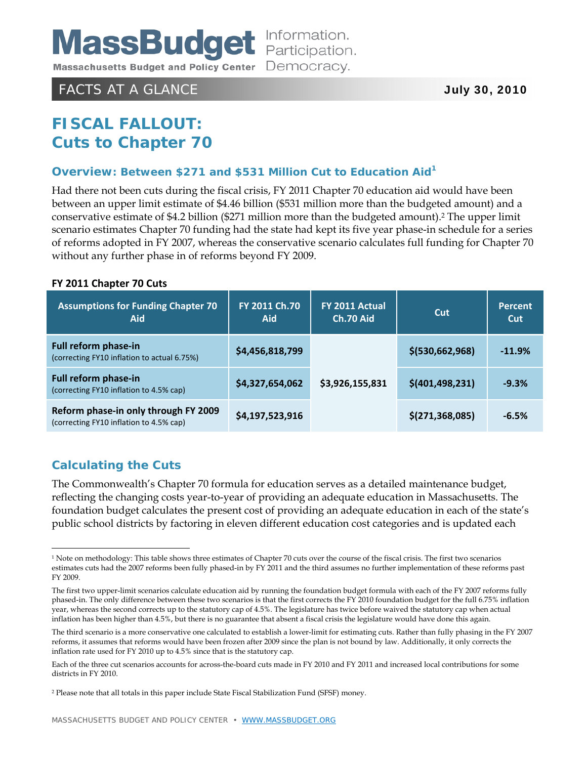

### FACTS AT A GLANCE **July 30, 2010**

# **FISCAL FALLOUT: Cuts to Chapter 70**

#### **Overview: Between \$271 and \$531 Million Cut to Education Aid1**

Had there not been cuts during the fiscal crisis, FY 2011 Chapter 70 education aid would have been between an upper limit estimate of \$4.46 billion (\$531 million more than the budgeted amount) and a conservative estimate of \$4.2 billion (\$271 million more than the budgeted amount).2 The upper limit scenario estimates Chapter 70 funding had the state had kept its five year phase-in schedule for a series of reforms adopted in FY 2007, whereas the conservative scenario calculates full funding for Chapter 70 without any further phase in of reforms beyond FY 2009.

#### **FY 2011 Chapter 70 Cuts**

| <b>Assumptions for Funding Chapter 70</b><br><b>Aid</b>                         | FY 2011 Ch.70<br>Aid | FY 2011 Actual<br>Ch.70 Aid | Cut               | Percent<br>Cut |
|---------------------------------------------------------------------------------|----------------------|-----------------------------|-------------------|----------------|
| Full reform phase-in<br>(correcting FY10 inflation to actual 6.75%)             | \$4,456,818,799      | \$3,926,155,831             | \$(530,662,968)   | $-11.9%$       |
| Full reform phase-in<br>(correcting FY10 inflation to 4.5% cap)                 | \$4,327,654,062      |                             | \$(401, 498, 231) | $-9.3%$        |
| Reform phase-in only through FY 2009<br>(correcting FY10 inflation to 4.5% cap) | \$4,197,523,916      |                             | \$(271, 368, 085) | $-6.5%$        |

### **Calculating the Cuts**

 $\overline{a}$ 

The Commonwealth's Chapter 70 formula for education serves as a detailed maintenance budget, reflecting the changing costs year-to-year of providing an adequate education in Massachusetts. The foundation budget calculates the present cost of providing an adequate education in each of the state's public school districts by factoring in eleven different education cost categories and is updated each

<sup>&</sup>lt;sup>1</sup> Note on methodology: This table shows three estimates of Chapter 70 cuts over the course of the fiscal crisis. The first two scenarios estimates cuts had the 2007 reforms been fully phased-in by FY 2011 and the third assumes no further implementation of these reforms past FY 2009.

The first two upper-limit scenarios calculate education aid by running the foundation budget formula with each of the FY 2007 reforms fully phased-in. The only difference between these two scenarios is that the first corrects the FY 2010 foundation budget for the full 6.75% inflation year, whereas the second corrects up to the statutory cap of 4.5%. The legislature has twice before waived the statutory cap when actual inflation has been higher than 4.5%, but there is no guarantee that absent a fiscal crisis the legislature would have done this again.

The third scenario is a more conservative one calculated to establish a lower-limit for estimating cuts. Rather than fully phasing in the FY 2007 reforms, it assumes that reforms would have been frozen after 2009 since the plan is not bound by law. Additionally, it only corrects the inflation rate used for FY 2010 up to 4.5% since that is the statutory cap.

Each of the three cut scenarios accounts for across-the-board cuts made in FY 2010 and FY 2011 and increased local contributions for some districts in FY 2010.

<sup>2</sup> Please note that all totals in this paper include State Fiscal Stabilization Fund (SFSF) money.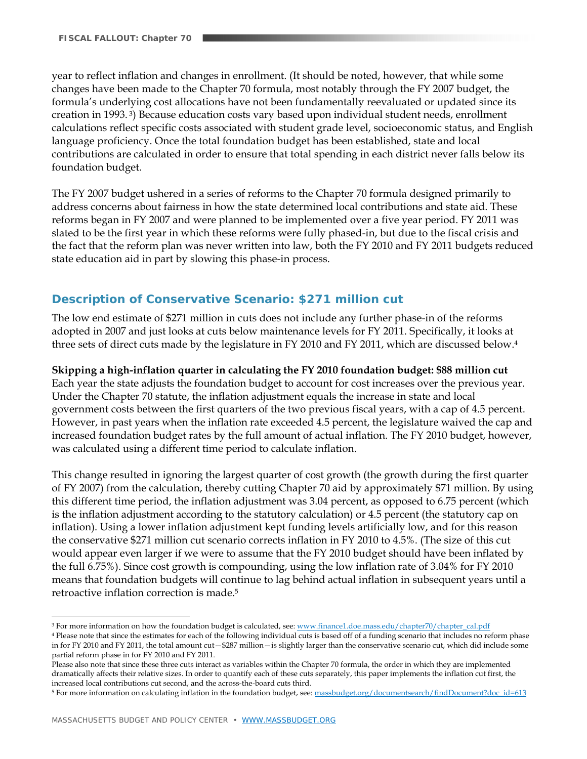year to reflect inflation and changes in enrollment. (It should be noted, however, that while some changes have been made to the Chapter 70 formula, most notably through the FY 2007 budget, the formula's underlying cost allocations have not been fundamentally reevaluated or updated since its creation in 1993. 3) Because education costs vary based upon individual student needs, enrollment calculations reflect specific costs associated with student grade level, socioeconomic status, and English language proficiency. Once the total foundation budget has been established, state and local contributions are calculated in order to ensure that total spending in each district never falls below its foundation budget.

The FY 2007 budget ushered in a series of reforms to the Chapter 70 formula designed primarily to address concerns about fairness in how the state determined local contributions and state aid. These reforms began in FY 2007 and were planned to be implemented over a five year period. FY 2011 was slated to be the first year in which these reforms were fully phased-in, but due to the fiscal crisis and the fact that the reform plan was never written into law, both the FY 2010 and FY 2011 budgets reduced state education aid in part by slowing this phase-in process.

### **Description of Conservative Scenario: \$271 million cut**

The low end estimate of \$271 million in cuts does not include any further phase-in of the reforms adopted in 2007 and just looks at cuts below maintenance levels for FY 2011. Specifically, it looks at three sets of direct cuts made by the legislature in FY 2010 and FY 2011, which are discussed below.<sup>4</sup>

#### **Skipping a high-inflation quarter in calculating the FY 2010 foundation budget: \$88 million cut**

Each year the state adjusts the foundation budget to account for cost increases over the previous year. Under the Chapter 70 statute, the inflation adjustment equals the increase in state and local government costs between the first quarters of the two previous fiscal years, with a cap of 4.5 percent. However, in past years when the inflation rate exceeded 4.5 percent, the legislature waived the cap and increased foundation budget rates by the full amount of actual inflation. The FY 2010 budget, however, was calculated using a different time period to calculate inflation.

This change resulted in ignoring the largest quarter of cost growth (the growth during the first quarter of FY 2007) from the calculation, thereby cutting Chapter 70 aid by approximately \$71 million. By using this different time period, the inflation adjustment was 3.04 percent, as opposed to 6.75 percent (which is the inflation adjustment according to the statutory calculation) or 4.5 percent (the statutory cap on inflation). Using a lower inflation adjustment kept funding levels artificially low, and for this reason the conservative \$271 million cut scenario corrects inflation in FY 2010 to 4.5%. (The size of this cut would appear even larger if we were to assume that the FY 2010 budget should have been inflated by the full 6.75%). Since cost growth is compounding, using the low inflation rate of 3.04% for FY 2010 means that foundation budgets will continue to lag behind actual inflation in subsequent years until a retroactive inflation correction is made.5

<u>.</u>

<sup>&</sup>lt;sup>3</sup> For more information on how the foundation budget is calculated, see: www.finance1.doe.mass.edu/chapter70/chapter\_cal.pdf

<sup>4</sup> Please note that since the estimates for each of the following individual cuts is based off of a funding scenario that includes no reform phase in for FY 2010 and FY 2011, the total amount cut—\$287 million—is slightly larger than the conservative scenario cut, which did include some partial reform phase in for FY 2010 and FY 2011.

Please also note that since these three cuts interact as variables within the Chapter 70 formula, the order in which they are implemented dramatically affects their relative sizes. In order to quantify each of these cuts separately, this paper implements the inflation cut first, the increased local contributions cut second, and the across-the-board cuts third.

<sup>5</sup> For more information on calculating inflation in the foundation budget, see: massbudget.org/documentsearch/findDocument?doc\_id=613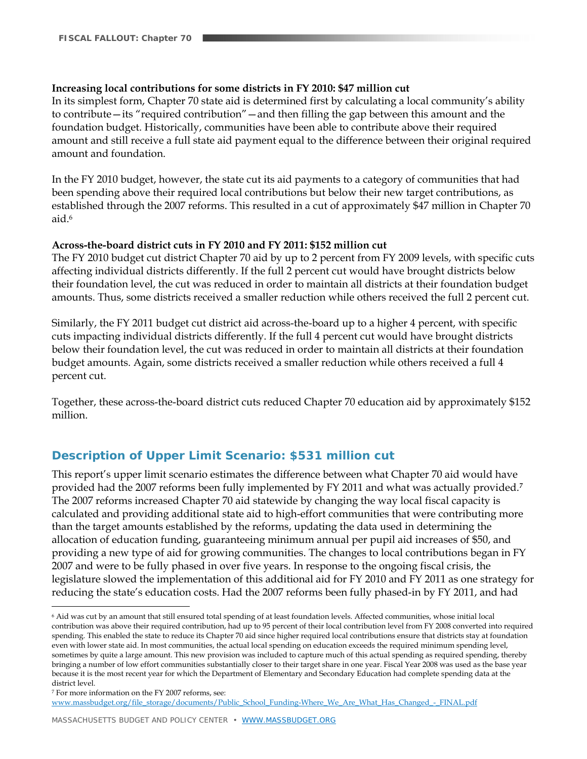#### **Increasing local contributions for some districts in FY 2010: \$47 million cut**

In its simplest form, Chapter 70 state aid is determined first by calculating a local community's ability to contribute—its "required contribution"—and then filling the gap between this amount and the foundation budget. Historically, communities have been able to contribute above their required amount and still receive a full state aid payment equal to the difference between their original required amount and foundation.

In the FY 2010 budget, however, the state cut its aid payments to a category of communities that had been spending above their required local contributions but below their new target contributions, as established through the 2007 reforms. This resulted in a cut of approximately \$47 million in Chapter 70 aid <sup>6</sup>

#### **Across-the-board district cuts in FY 2010 and FY 2011: \$152 million cut**

The FY 2010 budget cut district Chapter 70 aid by up to 2 percent from FY 2009 levels, with specific cuts affecting individual districts differently. If the full 2 percent cut would have brought districts below their foundation level, the cut was reduced in order to maintain all districts at their foundation budget amounts. Thus, some districts received a smaller reduction while others received the full 2 percent cut.

Similarly, the FY 2011 budget cut district aid across-the-board up to a higher 4 percent, with specific cuts impacting individual districts differently. If the full 4 percent cut would have brought districts below their foundation level, the cut was reduced in order to maintain all districts at their foundation budget amounts. Again, some districts received a smaller reduction while others received a full 4 percent cut.

Together, these across-the-board district cuts reduced Chapter 70 education aid by approximately \$152 million.

#### **Description of Upper Limit Scenario: \$531 million cut**

This report's upper limit scenario estimates the difference between what Chapter 70 aid would have provided had the 2007 reforms been fully implemented by FY 2011 and what was actually provided.*<sup>7</sup>* The 2007 reforms increased Chapter 70 aid statewide by changing the way local fiscal capacity is calculated and providing additional state aid to high-effort communities that were contributing more than the target amounts established by the reforms, updating the data used in determining the allocation of education funding, guaranteeing minimum annual per pupil aid increases of \$50, and providing a new type of aid for growing communities. The changes to local contributions began in FY 2007 and were to be fully phased in over five years. In response to the ongoing fiscal crisis, the legislature slowed the implementation of this additional aid for FY 2010 and FY 2011 as one strategy for reducing the state's education costs. Had the 2007 reforms been fully phased-in by FY 2011, and had

 $\overline{a}$ 

www.massbudget.org/file\_storage/documents/Public\_School\_Funding-Where\_We\_Are\_What\_Has\_Changed\_-\_FINAL.pdf

<sup>6</sup> Aid was cut by an amount that still ensured total spending of at least foundation levels. Affected communities, whose initial local contribution was above their required contribution, had up to 95 percent of their local contribution level from FY 2008 converted into required spending. This enabled the state to reduce its Chapter 70 aid since higher required local contributions ensure that districts stay at foundation even with lower state aid. In most communities, the actual local spending on education exceeds the required minimum spending level, sometimes by quite a large amount. This new provision was included to capture much of this actual spending as required spending, thereby bringing a number of low effort communities substantially closer to their target share in one year. Fiscal Year 2008 was used as the base year because it is the most recent year for which the Department of Elementary and Secondary Education had complete spending data at the district level.

<sup>7</sup> For more information on the FY 2007 reforms, see: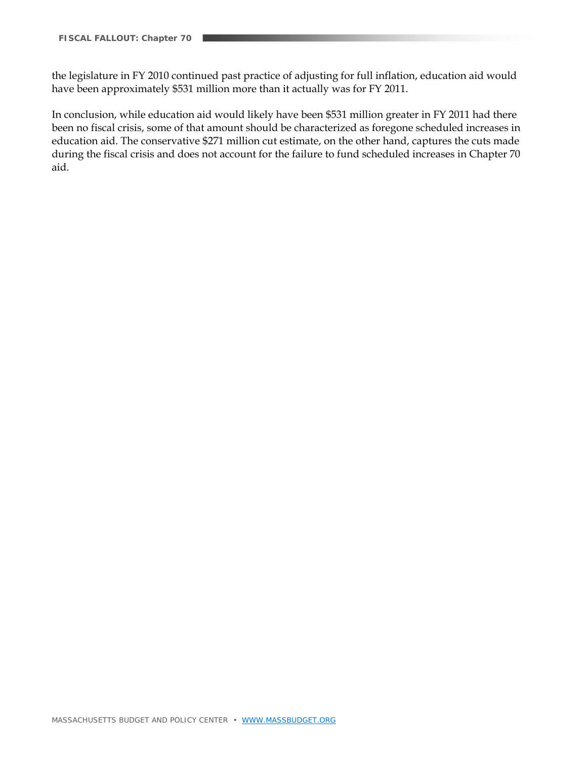the legislature in FY 2010 continued past practice of adjusting for full inflation, education aid would have been approximately \$531 million more than it actually was for FY 2011.

In conclusion, while education aid would likely have been \$531 million greater in FY 2011 had there been no fiscal crisis, some of that amount should be characterized as foregone scheduled increases in education aid. The conservative \$271 million cut estimate, on the other hand, captures the cuts made during the fiscal crisis and does not account for the failure to fund scheduled increases in Chapter 70 aid.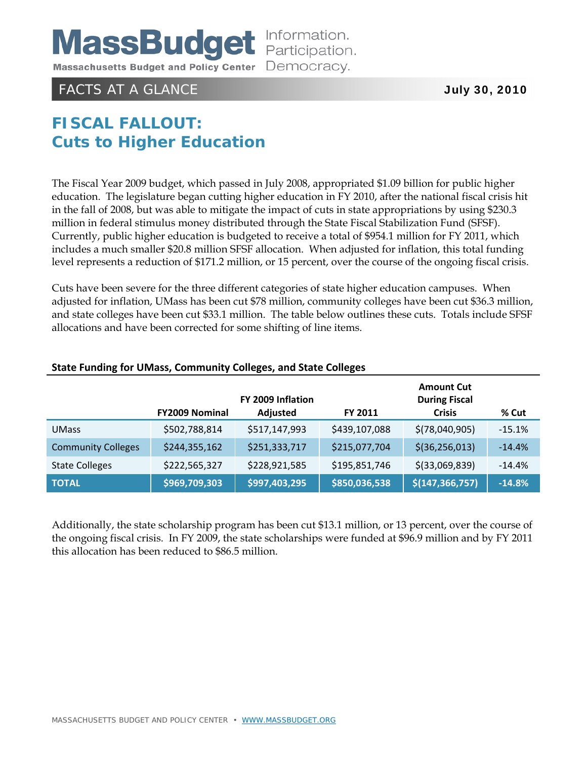

# FACTS AT A GLANCE **July 30, 2010**

# **FISCAL FALLOUT: Cuts to Higher Education**

The Fiscal Year 2009 budget, which passed in July 2008, appropriated \$1.09 billion for public higher education. The legislature began cutting higher education in FY 2010, after the national fiscal crisis hit in the fall of 2008, but was able to mitigate the impact of cuts in state appropriations by using \$230.3 million in federal stimulus money distributed through the State Fiscal Stabilization Fund (SFSF). Currently, public higher education is budgeted to receive a total of \$954.1 million for FY 2011, which includes a much smaller \$20.8 million SFSF allocation. When adjusted for inflation, this total funding level represents a reduction of \$171.2 million, or 15 percent, over the course of the ongoing fiscal crisis.

Cuts have been severe for the three different categories of state higher education campuses. When adjusted for inflation, UMass has been cut \$78 million, community colleges have been cut \$36.3 million, and state colleges have been cut \$33.1 million. The table below outlines these cuts. Totals include SFSF allocations and have been corrected for some shifting of line items.

|                           | <b>FY2009 Nominal</b> | FY 2009 Inflation<br>Adjusted | <b>FY 2011</b> | <b>Amount Cut</b><br><b>During Fiscal</b><br><b>Crisis</b> | % Cut    |
|---------------------------|-----------------------|-------------------------------|----------------|------------------------------------------------------------|----------|
| <b>UMass</b>              | \$502,788,814         | \$517,147,993                 | \$439,107,088  | \$(78,040,905)                                             | $-15.1%$ |
| <b>Community Colleges</b> | \$244,355,162         | \$251,333,717                 | \$215,077,704  | \$(36, 256, 013)                                           | $-14.4%$ |
| <b>State Colleges</b>     | \$222,565,327         | \$228,921,585                 | \$195,851,746  | $$$ (33,069,839)                                           | $-14.4%$ |
| <b>TOTAL</b>              | \$969,709,303         | \$997,403,295                 | \$850,036,538  | \$(147, 366, 757)                                          | $-14.8%$ |

#### **State Funding for UMass, Community Colleges, and State Colleges**

Additionally, the state scholarship program has been cut \$13.1 million, or 13 percent, over the course of the ongoing fiscal crisis. In FY 2009, the state scholarships were funded at \$96.9 million and by FY 2011 this allocation has been reduced to \$86.5 million.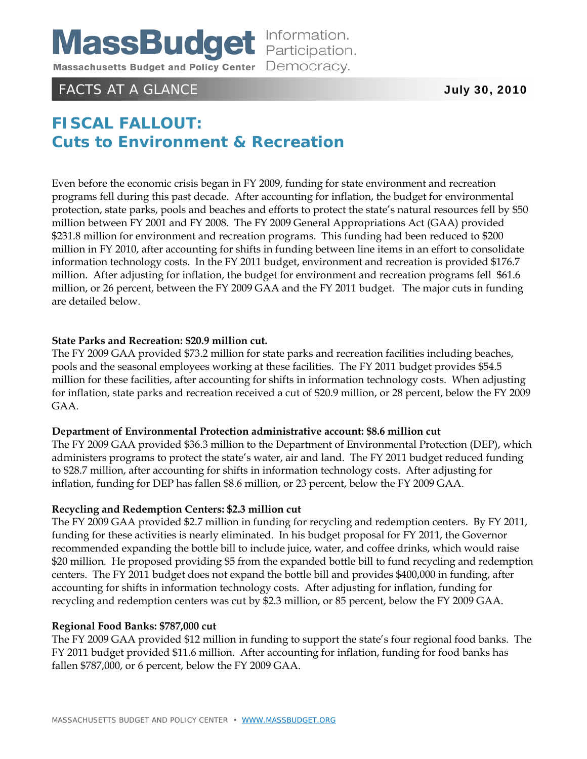

# FACTS AT A GLANCE **July 30, 2010**

# **FISCAL FALLOUT: Cuts to Environment & Recreation**

Even before the economic crisis began in FY 2009, funding for state environment and recreation programs fell during this past decade. After accounting for inflation, the budget for environmental protection, state parks, pools and beaches and efforts to protect the state's natural resources fell by \$50 million between FY 2001 and FY 2008. The FY 2009 General Appropriations Act (GAA) provided \$231.8 million for environment and recreation programs. This funding had been reduced to \$200 million in FY 2010, after accounting for shifts in funding between line items in an effort to consolidate information technology costs. In the FY 2011 budget, environment and recreation is provided \$176.7 million. After adjusting for inflation, the budget for environment and recreation programs fell \$61.6 million, or 26 percent, between the FY 2009 GAA and the FY 2011 budget. The major cuts in funding are detailed below.

#### **State Parks and Recreation: \$20.9 million cut.**

The FY 2009 GAA provided \$73.2 million for state parks and recreation facilities including beaches, pools and the seasonal employees working at these facilities. The FY 2011 budget provides \$54.5 million for these facilities, after accounting for shifts in information technology costs. When adjusting for inflation, state parks and recreation received a cut of \$20.9 million, or 28 percent, below the FY 2009 GAA.

#### **Department of Environmental Protection administrative account: \$8.6 million cut**

The FY 2009 GAA provided \$36.3 million to the Department of Environmental Protection (DEP), which administers programs to protect the state's water, air and land. The FY 2011 budget reduced funding to \$28.7 million, after accounting for shifts in information technology costs. After adjusting for inflation, funding for DEP has fallen \$8.6 million, or 23 percent, below the FY 2009 GAA.

#### **Recycling and Redemption Centers: \$2.3 million cut**

The FY 2009 GAA provided \$2.7 million in funding for recycling and redemption centers. By FY 2011, funding for these activities is nearly eliminated. In his budget proposal for FY 2011, the Governor recommended expanding the bottle bill to include juice, water, and coffee drinks, which would raise \$20 million. He proposed providing \$5 from the expanded bottle bill to fund recycling and redemption centers. The FY 2011 budget does not expand the bottle bill and provides \$400,000 in funding, after accounting for shifts in information technology costs. After adjusting for inflation, funding for recycling and redemption centers was cut by \$2.3 million, or 85 percent, below the FY 2009 GAA.

#### **Regional Food Banks: \$787,000 cut**

The FY 2009 GAA provided \$12 million in funding to support the state's four regional food banks. The FY 2011 budget provided \$11.6 million. After accounting for inflation, funding for food banks has fallen \$787,000, or 6 percent, below the FY 2009 GAA.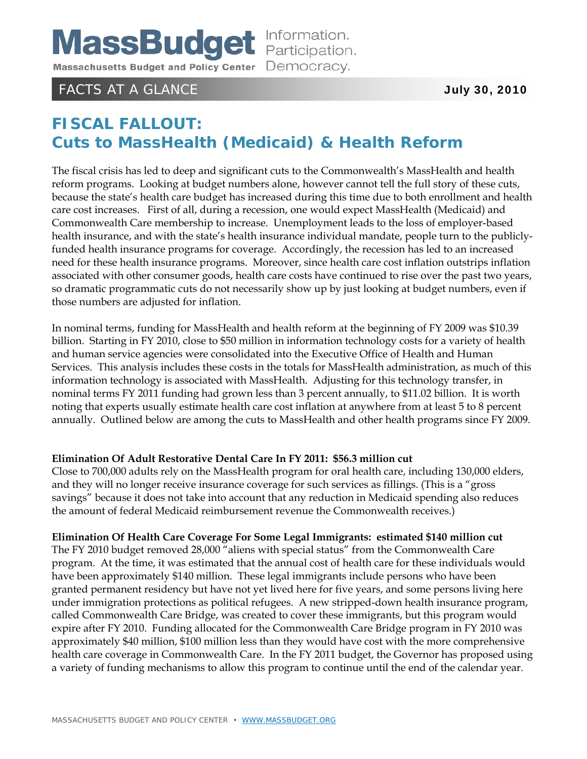# FACTS AT A GLANCE **July 30, 2010**

# **FISCAL FALLOUT: Cuts to MassHealth (Medicaid) & Health Reform**

The fiscal crisis has led to deep and significant cuts to the Commonwealth's MassHealth and health reform programs. Looking at budget numbers alone, however cannot tell the full story of these cuts, because the state's health care budget has increased during this time due to both enrollment and health care cost increases. First of all, during a recession, one would expect MassHealth (Medicaid) and Commonwealth Care membership to increase. Unemployment leads to the loss of employer-based health insurance, and with the state's health insurance individual mandate, people turn to the publiclyfunded health insurance programs for coverage. Accordingly, the recession has led to an increased need for these health insurance programs. Moreover, since health care cost inflation outstrips inflation associated with other consumer goods, health care costs have continued to rise over the past two years, so dramatic programmatic cuts do not necessarily show up by just looking at budget numbers, even if those numbers are adjusted for inflation.

In nominal terms, funding for MassHealth and health reform at the beginning of FY 2009 was \$10.39 billion. Starting in FY 2010, close to \$50 million in information technology costs for a variety of health and human service agencies were consolidated into the Executive Office of Health and Human Services. This analysis includes these costs in the totals for MassHealth administration, as much of this information technology is associated with MassHealth. Adjusting for this technology transfer, in nominal terms FY 2011 funding had grown less than 3 percent annually, to \$11.02 billion. It is worth noting that experts usually estimate health care cost inflation at anywhere from at least 5 to 8 percent annually. Outlined below are among the cuts to MassHealth and other health programs since FY 2009.

#### **Elimination Of Adult Restorative Dental Care In FY 2011: \$56.3 million cut**

Close to 700,000 adults rely on the MassHealth program for oral health care, including 130,000 elders, and they will no longer receive insurance coverage for such services as fillings. (This is a "gross savings" because it does not take into account that any reduction in Medicaid spending also reduces the amount of federal Medicaid reimbursement revenue the Commonwealth receives.)

#### **Elimination Of Health Care Coverage For Some Legal Immigrants: estimated \$140 million cut**

The FY 2010 budget removed 28,000 "aliens with special status" from the Commonwealth Care program. At the time, it was estimated that the annual cost of health care for these individuals would have been approximately \$140 million. These legal immigrants include persons who have been granted permanent residency but have not yet lived here for five years, and some persons living here under immigration protections as political refugees. A new stripped-down health insurance program, called Commonwealth Care Bridge, was created to cover these immigrants, but this program would expire after FY 2010. Funding allocated for the Commonwealth Care Bridge program in FY 2010 was approximately \$40 million, \$100 million less than they would have cost with the more comprehensive health care coverage in Commonwealth Care. In the FY 2011 budget, the Governor has proposed using a variety of funding mechanisms to allow this program to continue until the end of the calendar year.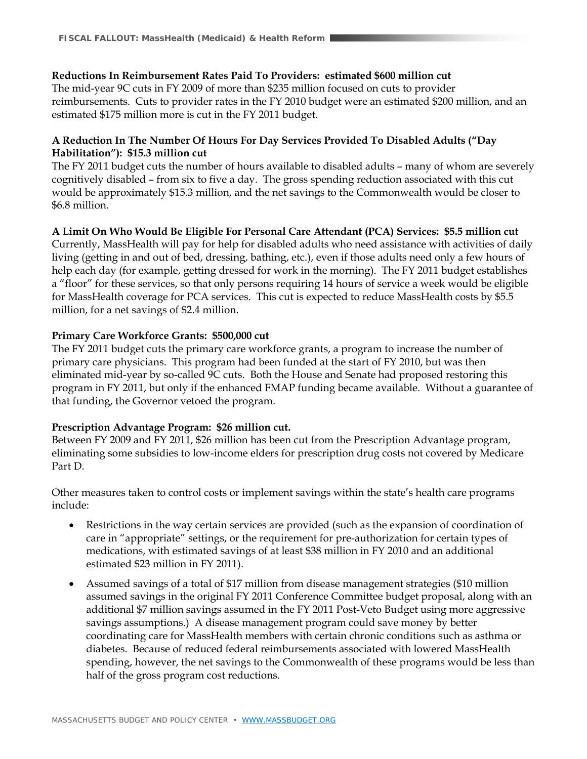#### **Reductions In Reimbursement Rates Paid To Providers: estimated \$600 million cut**

The mid-year 9C cuts in FY 2009 of more than \$235 million focused on cuts to provider reimbursements. Cuts to provider rates in the FY 2010 budget were an estimated \$200 million, and an estimated \$175 million more is cut in the FY 2011 budget.

#### **A Reduction In The Number Of Hours For Day Services Provided To Disabled Adults ("Day Habilitation"): \$15.3 million cut**

The FY 2011 budget cuts the number of hours available to disabled adults – many of whom are severely cognitively disabled – from six to five a day. The gross spending reduction associated with this cut would be approximately \$15.3 million, and the net savings to the Commonwealth would be closer to \$6.8 million.

**A Limit On Who Would Be Eligible For Personal Care Attendant (PCA) Services: \$5.5 million cut** 

Currently, MassHealth will pay for help for disabled adults who need assistance with activities of daily living (getting in and out of bed, dressing, bathing, etc.), even if those adults need only a few hours of help each day (for example, getting dressed for work in the morning). The FY 2011 budget establishes a "floor" for these services, so that only persons requiring 14 hours of service a week would be eligible for MassHealth coverage for PCA services. This cut is expected to reduce MassHealth costs by \$5.5 million, for a net savings of \$2.4 million.

#### **Primary Care Workforce Grants: \$500,000 cut**

The FY 2011 budget cuts the primary care workforce grants, a program to increase the number of primary care physicians. This program had been funded at the start of FY 2010, but was then eliminated mid-year by so-called 9C cuts. Both the House and Senate had proposed restoring this program in FY 2011, but only if the enhanced FMAP funding became available. Without a guarantee of that funding, the Governor vetoed the program.

#### **Prescription Advantage Program: \$26 million cut.**

Between FY 2009 and FY 2011, \$26 million has been cut from the Prescription Advantage program, eliminating some subsidies to low-income elders for prescription drug costs not covered by Medicare Part D.

Other measures taken to control costs or implement savings within the state's health care programs include:

- Restrictions in the way certain services are provided (such as the expansion of coordination of care in "appropriate" settings, or the requirement for pre-authorization for certain types of medications, with estimated savings of at least \$38 million in FY 2010 and an additional estimated \$23 million in FY 2011).
- Assumed savings of a total of \$17 million from disease management strategies (\$10 million assumed savings in the original FY 2011 Conference Committee budget proposal, along with an additional \$7 million savings assumed in the FY 2011 Post-Veto Budget using more aggressive savings assumptions.) A disease management program could save money by better coordinating care for MassHealth members with certain chronic conditions such as asthma or diabetes. Because of reduced federal reimbursements associated with lowered MassHealth spending, however, the net savings to the Commonwealth of these programs would be less than half of the gross program cost reductions.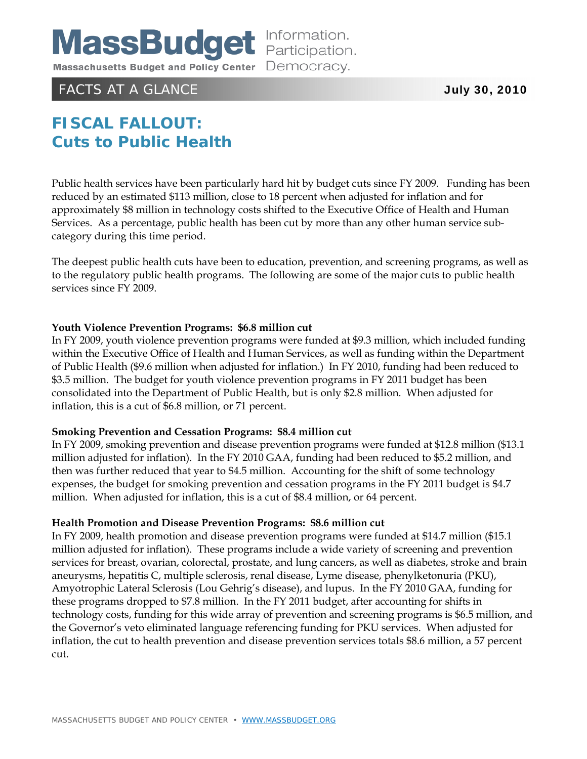

### FACTS AT A GLANCE **July 30, 2010**

# **FISCAL FALLOUT: Cuts to Public Health**

Public health services have been particularly hard hit by budget cuts since FY 2009. Funding has been reduced by an estimated \$113 million, close to 18 percent when adjusted for inflation and for approximately \$8 million in technology costs shifted to the Executive Office of Health and Human Services. As a percentage, public health has been cut by more than any other human service subcategory during this time period.

The deepest public health cuts have been to education, prevention, and screening programs, as well as to the regulatory public health programs. The following are some of the major cuts to public health services since FY 2009.

#### **Youth Violence Prevention Programs: \$6.8 million cut**

In FY 2009, youth violence prevention programs were funded at \$9.3 million, which included funding within the Executive Office of Health and Human Services, as well as funding within the Department of Public Health (\$9.6 million when adjusted for inflation.) In FY 2010, funding had been reduced to \$3.5 million. The budget for youth violence prevention programs in FY 2011 budget has been consolidated into the Department of Public Health, but is only \$2.8 million. When adjusted for inflation, this is a cut of \$6.8 million, or 71 percent.

#### **Smoking Prevention and Cessation Programs: \$8.4 million cut**

In FY 2009, smoking prevention and disease prevention programs were funded at \$12.8 million (\$13.1 million adjusted for inflation). In the FY 2010 GAA, funding had been reduced to \$5.2 million, and then was further reduced that year to \$4.5 million. Accounting for the shift of some technology expenses, the budget for smoking prevention and cessation programs in the FY 2011 budget is \$4.7 million. When adjusted for inflation, this is a cut of \$8.4 million, or 64 percent.

#### **Health Promotion and Disease Prevention Programs: \$8.6 million cut**

In FY 2009, health promotion and disease prevention programs were funded at \$14.7 million (\$15.1 million adjusted for inflation). These programs include a wide variety of screening and prevention services for breast, ovarian, colorectal, prostate, and lung cancers, as well as diabetes, stroke and brain aneurysms, hepatitis C, multiple sclerosis, renal disease, Lyme disease, phenylketonuria (PKU), Amyotrophic Lateral Sclerosis (Lou Gehrig's disease), and lupus. In the FY 2010 GAA, funding for these programs dropped to \$7.8 million. In the FY 2011 budget, after accounting for shifts in technology costs, funding for this wide array of prevention and screening programs is \$6.5 million, and the Governor's veto eliminated language referencing funding for PKU services. When adjusted for inflation, the cut to health prevention and disease prevention services totals \$8.6 million, a 57 percent cut.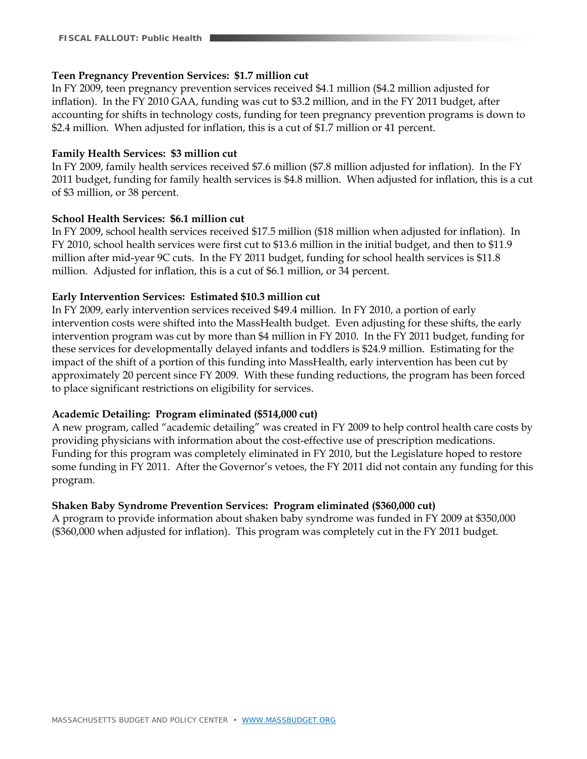#### **Teen Pregnancy Prevention Services: \$1.7 million cut**

In FY 2009, teen pregnancy prevention services received \$4.1 million (\$4.2 million adjusted for inflation). In the FY 2010 GAA, funding was cut to \$3.2 million, and in the FY 2011 budget, after accounting for shifts in technology costs, funding for teen pregnancy prevention programs is down to \$2.4 million. When adjusted for inflation, this is a cut of \$1.7 million or 41 percent.

#### **Family Health Services: \$3 million cut**

In FY 2009, family health services received \$7.6 million (\$7.8 million adjusted for inflation). In the FY 2011 budget, funding for family health services is \$4.8 million. When adjusted for inflation, this is a cut of \$3 million, or 38 percent.

#### **School Health Services: \$6.1 million cut**

In FY 2009, school health services received \$17.5 million (\$18 million when adjusted for inflation). In FY 2010, school health services were first cut to \$13.6 million in the initial budget, and then to \$11.9 million after mid-year 9C cuts. In the FY 2011 budget, funding for school health services is \$11.8 million. Adjusted for inflation, this is a cut of \$6.1 million, or 34 percent.

#### **Early Intervention Services: Estimated \$10.3 million cut**

In FY 2009, early intervention services received \$49.4 million. In FY 2010, a portion of early intervention costs were shifted into the MassHealth budget. Even adjusting for these shifts, the early intervention program was cut by more than \$4 million in FY 2010. In the FY 2011 budget, funding for these services for developmentally delayed infants and toddlers is \$24.9 million. Estimating for the impact of the shift of a portion of this funding into MassHealth, early intervention has been cut by approximately 20 percent since FY 2009. With these funding reductions, the program has been forced to place significant restrictions on eligibility for services.

#### **Academic Detailing: Program eliminated (\$514,000 cut)**

A new program, called "academic detailing" was created in FY 2009 to help control health care costs by providing physicians with information about the cost-effective use of prescription medications. Funding for this program was completely eliminated in FY 2010, but the Legislature hoped to restore some funding in FY 2011. After the Governor's vetoes, the FY 2011 did not contain any funding for this program.

#### **Shaken Baby Syndrome Prevention Services: Program eliminated (\$360,000 cut)**

A program to provide information about shaken baby syndrome was funded in FY 2009 at \$350,000 (\$360,000 when adjusted for inflation). This program was completely cut in the FY 2011 budget.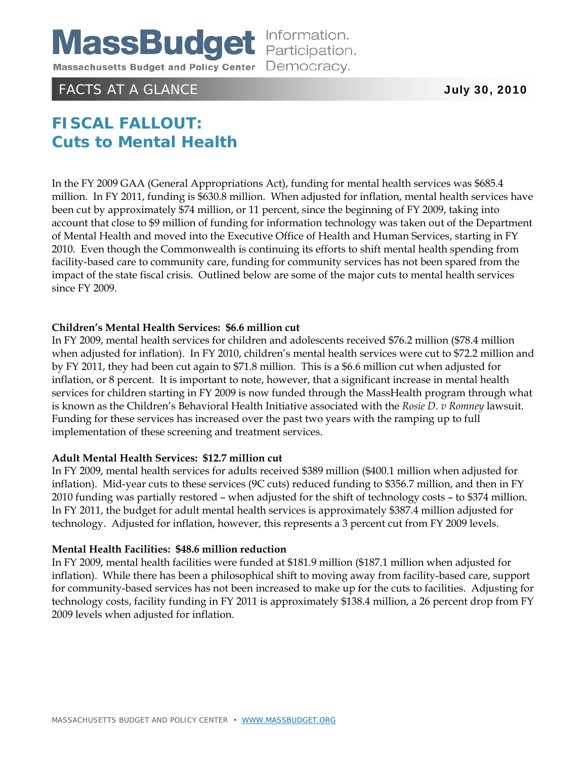

# FACTS AT A GLANCE **July 30, 2010**

# **FISCAL FALLOUT: Cuts to Mental Health**

In the FY 2009 GAA (General Appropriations Act), funding for mental health services was \$685.4 million. In FY 2011, funding is \$630.8 million. When adjusted for inflation, mental health services have been cut by approximately \$74 million, or 11 percent, since the beginning of FY 2009, taking into account that close to \$9 million of funding for information technology was taken out of the Department of Mental Health and moved into the Executive Office of Health and Human Services, starting in FY 2010. Even though the Commonwealth is continuing its efforts to shift mental health spending from facility-based care to community care, funding for community services has not been spared from the impact of the state fiscal crisis. Outlined below are some of the major cuts to mental health services since FY 2009.

#### **Children's Mental Health Services: \$6.6 million cut**

In FY 2009, mental health services for children and adolescents received \$76.2 million (\$78.4 million when adjusted for inflation). In FY 2010, children's mental health services were cut to \$72.2 million and by FY 2011, they had been cut again to \$71.8 million. This is a \$6.6 million cut when adjusted for inflation, or 8 percent. It is important to note, however, that a significant increase in mental health services for children starting in FY 2009 is now funded through the MassHealth program through what is known as the Children's Behavioral Health Initiative associated with the *Rosie D. v Romney* lawsuit. Funding for these services has increased over the past two years with the ramping up to full implementation of these screening and treatment services.

#### **Adult Mental Health Services: \$12.7 million cut**

In FY 2009, mental health services for adults received \$389 million (\$400.1 million when adjusted for inflation). Mid-year cuts to these services (9C cuts) reduced funding to \$356.7 million, and then in FY 2010 funding was partially restored – when adjusted for the shift of technology costs – to \$374 million. In FY 2011, the budget for adult mental health services is approximately \$387.4 million adjusted for technology. Adjusted for inflation, however, this represents a 3 percent cut from FY 2009 levels.

#### **Mental Health Facilities: \$48.6 million reduction**

In FY 2009, mental health facilities were funded at \$181.9 million (\$187.1 million when adjusted for inflation). While there has been a philosophical shift to moving away from facility-based care, support for community-based services has not been increased to make up for the cuts to facilities. Adjusting for technology costs, facility funding in FY 2011 is approximately \$138.4 million, a 26 percent drop from FY 2009 levels when adjusted for inflation.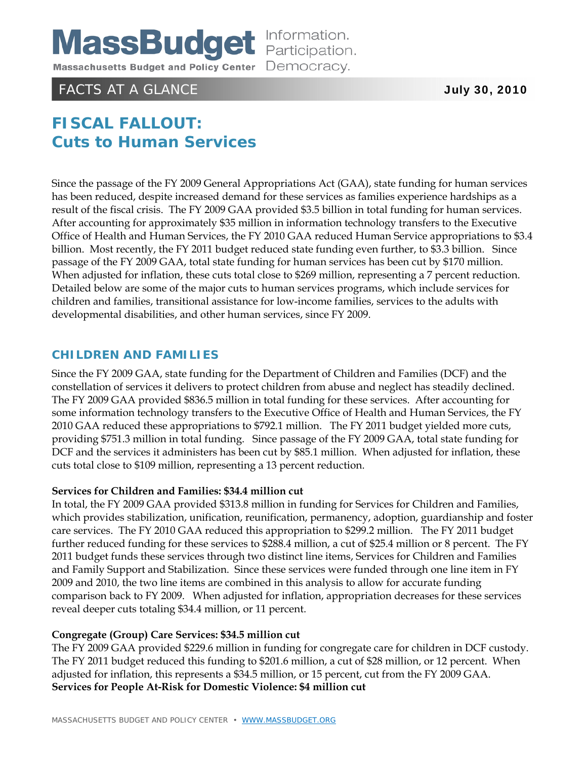

# FACTS AT A GLANCE **The CONTRACTS AT A GLANCE**  $\overline{J}$  and  $\overline{J}$  and  $\overline{J}$  and  $\overline{J}$  and  $\overline{J}$  and  $\overline{J}$  and  $\overline{J}$  and  $\overline{J}$  and  $\overline{J}$  and  $\overline{J}$  and  $\overline{J}$  and  $\overline{J}$  and  $\overline{J}$  and  $\overline{J}$

# **FISCAL FALLOUT: Cuts to Human Services**

Since the passage of the FY 2009 General Appropriations Act (GAA), state funding for human services has been reduced, despite increased demand for these services as families experience hardships as a result of the fiscal crisis. The FY 2009 GAA provided \$3.5 billion in total funding for human services. After accounting for approximately \$35 million in information technology transfers to the Executive Office of Health and Human Services, the FY 2010 GAA reduced Human Service appropriations to \$3.4 billion. Most recently, the FY 2011 budget reduced state funding even further, to \$3.3 billion. Since passage of the FY 2009 GAA, total state funding for human services has been cut by \$170 million. When adjusted for inflation, these cuts total close to \$269 million, representing a 7 percent reduction. Detailed below are some of the major cuts to human services programs, which include services for children and families, transitional assistance for low-income families, services to the adults with developmental disabilities, and other human services, since FY 2009.

#### **CHILDREN AND FAMILIES**

Since the FY 2009 GAA, state funding for the Department of Children and Families (DCF) and the constellation of services it delivers to protect children from abuse and neglect has steadily declined. The FY 2009 GAA provided \$836.5 million in total funding for these services. After accounting for some information technology transfers to the Executive Office of Health and Human Services, the FY 2010 GAA reduced these appropriations to \$792.1 million. The FY 2011 budget yielded more cuts, providing \$751.3 million in total funding. Since passage of the FY 2009 GAA, total state funding for DCF and the services it administers has been cut by \$85.1 million. When adjusted for inflation, these cuts total close to \$109 million, representing a 13 percent reduction.

#### **Services for Children and Families: \$34.4 million cut**

In total, the FY 2009 GAA provided \$313.8 million in funding for Services for Children and Families, which provides stabilization, unification, reunification, permanency, adoption, guardianship and foster care services. The FY 2010 GAA reduced this appropriation to \$299.2 million. The FY 2011 budget further reduced funding for these services to \$288.4 million, a cut of \$25.4 million or 8 percent. The FY 2011 budget funds these services through two distinct line items, Services for Children and Families and Family Support and Stabilization. Since these services were funded through one line item in FY 2009 and 2010, the two line items are combined in this analysis to allow for accurate funding comparison back to FY 2009. When adjusted for inflation, appropriation decreases for these services reveal deeper cuts totaling \$34.4 million, or 11 percent.

#### **Congregate (Group) Care Services: \$34.5 million cut**

The FY 2009 GAA provided \$229.6 million in funding for congregate care for children in DCF custody. The FY 2011 budget reduced this funding to \$201.6 million, a cut of \$28 million, or 12 percent. When adjusted for inflation, this represents a \$34.5 million, or 15 percent, cut from the FY 2009 GAA. **Services for People At-Risk for Domestic Violence: \$4 million cut**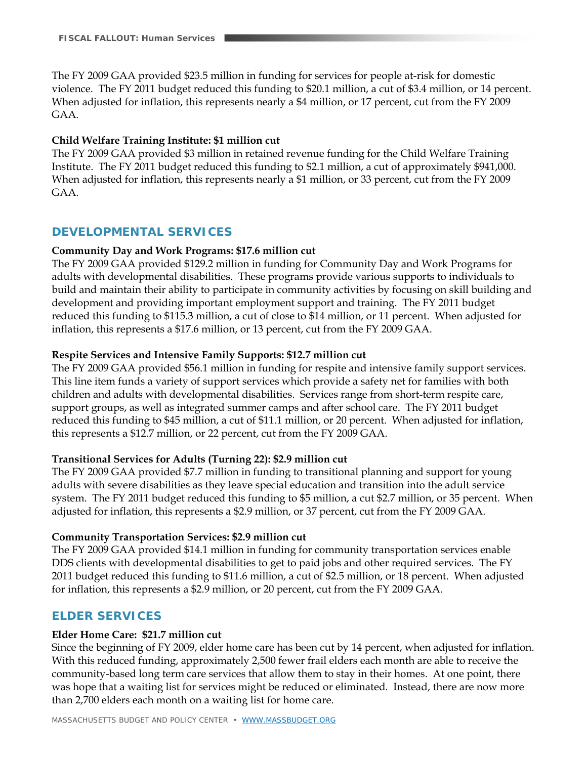The FY 2009 GAA provided \$23.5 million in funding for services for people at-risk for domestic violence. The FY 2011 budget reduced this funding to \$20.1 million, a cut of \$3.4 million, or 14 percent. When adjusted for inflation, this represents nearly a \$4 million, or 17 percent, cut from the FY 2009 GAA.

#### **Child Welfare Training Institute: \$1 million cut**

The FY 2009 GAA provided \$3 million in retained revenue funding for the Child Welfare Training Institute. The FY 2011 budget reduced this funding to \$2.1 million, a cut of approximately \$941,000. When adjusted for inflation, this represents nearly a \$1 million, or 33 percent, cut from the FY 2009 GAA.

### **DEVELOPMENTAL SERVICES**

#### **Community Day and Work Programs: \$17.6 million cut**

The FY 2009 GAA provided \$129.2 million in funding for Community Day and Work Programs for adults with developmental disabilities. These programs provide various supports to individuals to build and maintain their ability to participate in community activities by focusing on skill building and development and providing important employment support and training. The FY 2011 budget reduced this funding to \$115.3 million, a cut of close to \$14 million, or 11 percent. When adjusted for inflation, this represents a \$17.6 million, or 13 percent, cut from the FY 2009 GAA.

#### **Respite Services and Intensive Family Supports: \$12.7 million cut**

The FY 2009 GAA provided \$56.1 million in funding for respite and intensive family support services. This line item funds a variety of support services which provide a safety net for families with both children and adults with developmental disabilities. Services range from short-term respite care, support groups, as well as integrated summer camps and after school care. The FY 2011 budget reduced this funding to \$45 million, a cut of \$11.1 million, or 20 percent. When adjusted for inflation, this represents a \$12.7 million, or 22 percent, cut from the FY 2009 GAA.

#### **Transitional Services for Adults (Turning 22): \$2.9 million cut**

The FY 2009 GAA provided \$7.7 million in funding to transitional planning and support for young adults with severe disabilities as they leave special education and transition into the adult service system. The FY 2011 budget reduced this funding to \$5 million, a cut \$2.7 million, or 35 percent. When adjusted for inflation, this represents a \$2.9 million, or 37 percent, cut from the FY 2009 GAA.

#### **Community Transportation Services: \$2.9 million cut**

The FY 2009 GAA provided \$14.1 million in funding for community transportation services enable DDS clients with developmental disabilities to get to paid jobs and other required services. The FY 2011 budget reduced this funding to \$11.6 million, a cut of \$2.5 million, or 18 percent. When adjusted for inflation, this represents a \$2.9 million, or 20 percent, cut from the FY 2009 GAA.

### **ELDER SERVICES**

#### **Elder Home Care: \$21.7 million cut**

Since the beginning of FY 2009, elder home care has been cut by 14 percent, when adjusted for inflation. With this reduced funding, approximately 2,500 fewer frail elders each month are able to receive the community-based long term care services that allow them to stay in their homes. At one point, there was hope that a waiting list for services might be reduced or eliminated. Instead, there are now more than 2,700 elders each month on a waiting list for home care.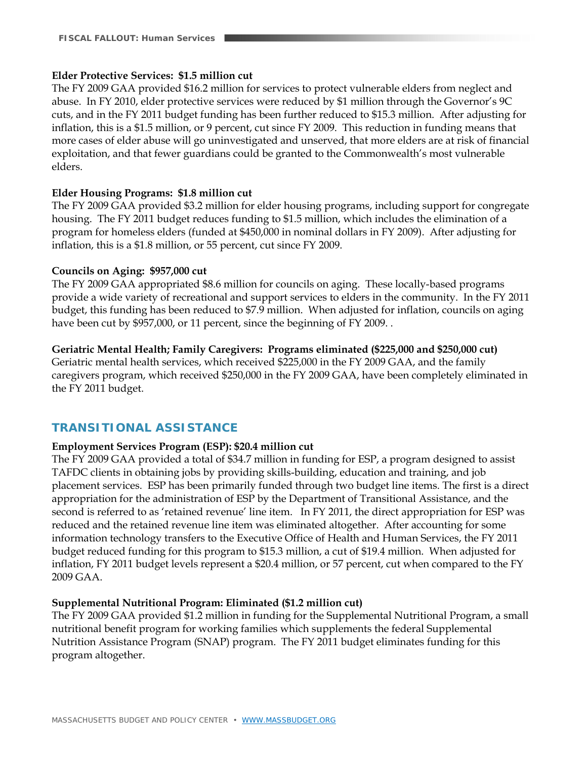#### **Elder Protective Services: \$1.5 million cut**

The FY 2009 GAA provided \$16.2 million for services to protect vulnerable elders from neglect and abuse. In FY 2010, elder protective services were reduced by \$1 million through the Governor's 9C cuts, and in the FY 2011 budget funding has been further reduced to \$15.3 million. After adjusting for inflation, this is a \$1.5 million, or 9 percent, cut since FY 2009. This reduction in funding means that more cases of elder abuse will go uninvestigated and unserved, that more elders are at risk of financial exploitation, and that fewer guardians could be granted to the Commonwealth's most vulnerable elders.

#### **Elder Housing Programs: \$1.8 million cut**

The FY 2009 GAA provided \$3.2 million for elder housing programs, including support for congregate housing. The FY 2011 budget reduces funding to \$1.5 million, which includes the elimination of a program for homeless elders (funded at \$450,000 in nominal dollars in FY 2009). After adjusting for inflation, this is a \$1.8 million, or 55 percent, cut since FY 2009.

#### **Councils on Aging: \$957,000 cut**

The FY 2009 GAA appropriated \$8.6 million for councils on aging. These locally-based programs provide a wide variety of recreational and support services to elders in the community. In the FY 2011 budget, this funding has been reduced to \$7.9 million. When adjusted for inflation, councils on aging have been cut by \$957,000, or 11 percent, since the beginning of FY 2009. .

#### **Geriatric Mental Health; Family Caregivers: Programs eliminated (\$225,000 and \$250,000 cut)**

Geriatric mental health services, which received \$225,000 in the FY 2009 GAA, and the family caregivers program, which received \$250,000 in the FY 2009 GAA, have been completely eliminated in the FY 2011 budget.

### **TRANSITIONAL ASSISTANCE**

#### **Employment Services Program (ESP): \$20.4 million cut**

The FY 2009 GAA provided a total of \$34.7 million in funding for ESP, a program designed to assist TAFDC clients in obtaining jobs by providing skills-building, education and training, and job placement services. ESP has been primarily funded through two budget line items. The first is a direct appropriation for the administration of ESP by the Department of Transitional Assistance, and the second is referred to as 'retained revenue' line item. In FY 2011, the direct appropriation for ESP was reduced and the retained revenue line item was eliminated altogether. After accounting for some information technology transfers to the Executive Office of Health and Human Services, the FY 2011 budget reduced funding for this program to \$15.3 million, a cut of \$19.4 million. When adjusted for inflation, FY 2011 budget levels represent a \$20.4 million, or 57 percent, cut when compared to the FY 2009 GAA.

#### **Supplemental Nutritional Program: Eliminated (\$1.2 million cut)**

The FY 2009 GAA provided \$1.2 million in funding for the Supplemental Nutritional Program, a small nutritional benefit program for working families which supplements the federal Supplemental Nutrition Assistance Program (SNAP) program. The FY 2011 budget eliminates funding for this program altogether.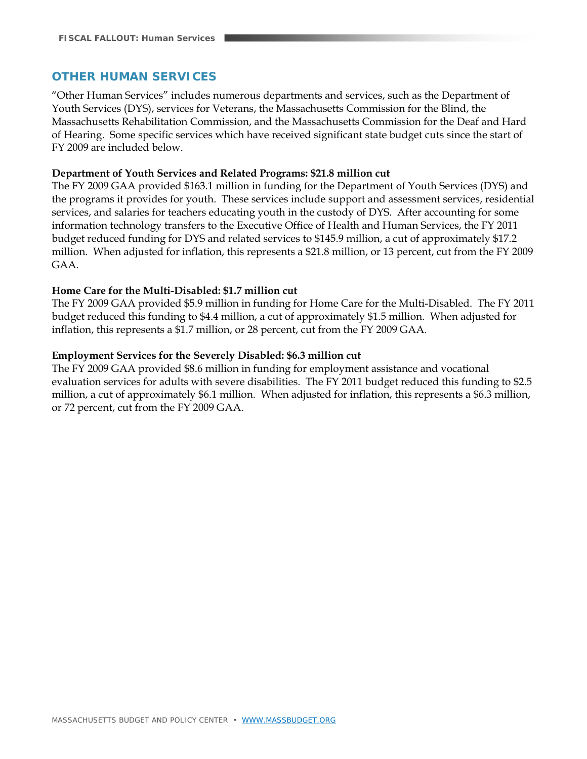### **OTHER HUMAN SERVICES**

"Other Human Services" includes numerous departments and services, such as the Department of Youth Services (DYS), services for Veterans, the Massachusetts Commission for the Blind, the Massachusetts Rehabilitation Commission, and the Massachusetts Commission for the Deaf and Hard of Hearing. Some specific services which have received significant state budget cuts since the start of FY 2009 are included below.

#### **Department of Youth Services and Related Programs: \$21.8 million cut**

The FY 2009 GAA provided \$163.1 million in funding for the Department of Youth Services (DYS) and the programs it provides for youth. These services include support and assessment services, residential services, and salaries for teachers educating youth in the custody of DYS. After accounting for some information technology transfers to the Executive Office of Health and Human Services, the FY 2011 budget reduced funding for DYS and related services to \$145.9 million, a cut of approximately \$17.2 million. When adjusted for inflation, this represents a \$21.8 million, or 13 percent, cut from the FY 2009 GAA.

#### **Home Care for the Multi-Disabled: \$1.7 million cut**

The FY 2009 GAA provided \$5.9 million in funding for Home Care for the Multi-Disabled. The FY 2011 budget reduced this funding to \$4.4 million, a cut of approximately \$1.5 million. When adjusted for inflation, this represents a \$1.7 million, or 28 percent, cut from the FY 2009 GAA.

#### **Employment Services for the Severely Disabled: \$6.3 million cut**

The FY 2009 GAA provided \$8.6 million in funding for employment assistance and vocational evaluation services for adults with severe disabilities. The FY 2011 budget reduced this funding to \$2.5 million, a cut of approximately \$6.1 million. When adjusted for inflation, this represents a \$6.3 million, or 72 percent, cut from the FY 2009 GAA.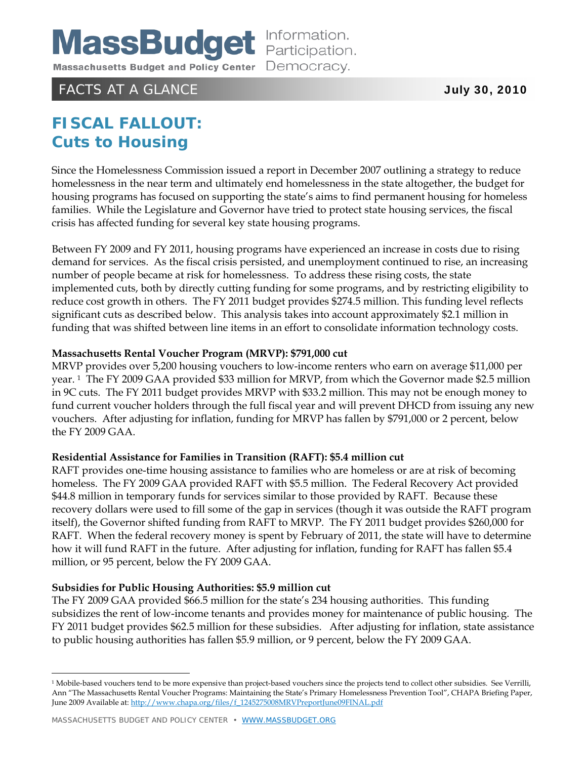# FACTS AT A GLANCE **The CONTRACTS AT A GLANCE**  $\overline{J}$  and  $\overline{J}$  and  $\overline{J}$  and  $\overline{J}$  and  $\overline{J}$  and  $\overline{J}$  and  $\overline{J}$  and  $\overline{J}$  and  $\overline{J}$  and  $\overline{J}$  and  $\overline{J}$  and  $\overline{J}$  and  $\overline{J}$  and  $\overline{J}$

# **FISCAL FALLOUT: Cuts to Housing**

Since the Homelessness Commission issued a report in December 2007 outlining a strategy to reduce homelessness in the near term and ultimately end homelessness in the state altogether, the budget for housing programs has focused on supporting the state's aims to find permanent housing for homeless families. While the Legislature and Governor have tried to protect state housing services, the fiscal crisis has affected funding for several key state housing programs.

Between FY 2009 and FY 2011, housing programs have experienced an increase in costs due to rising demand for services. As the fiscal crisis persisted, and unemployment continued to rise, an increasing number of people became at risk for homelessness. To address these rising costs, the state implemented cuts, both by directly cutting funding for some programs, and by restricting eligibility to reduce cost growth in others. The FY 2011 budget provides \$274.5 million. This funding level reflects significant cuts as described below. This analysis takes into account approximately \$2.1 million in funding that was shifted between line items in an effort to consolidate information technology costs.

#### **Massachusetts Rental Voucher Program (MRVP): \$791,000 cut**

MRVP provides over 5,200 housing vouchers to low-income renters who earn on average \$11,000 per year. 1 The FY 2009 GAA provided \$33 million for MRVP, from which the Governor made \$2.5 million in 9C cuts. The FY 2011 budget provides MRVP with \$33.2 million. This may not be enough money to fund current voucher holders through the full fiscal year and will prevent DHCD from issuing any new vouchers. After adjusting for inflation, funding for MRVP has fallen by \$791,000 or 2 percent, below the FY 2009 GAA.

#### **Residential Assistance for Families in Transition (RAFT): \$5.4 million cut**

RAFT provides one-time housing assistance to families who are homeless or are at risk of becoming homeless. The FY 2009 GAA provided RAFT with \$5.5 million. The Federal Recovery Act provided \$44.8 million in temporary funds for services similar to those provided by RAFT. Because these recovery dollars were used to fill some of the gap in services (though it was outside the RAFT program itself), the Governor shifted funding from RAFT to MRVP. The FY 2011 budget provides \$260,000 for RAFT. When the federal recovery money is spent by February of 2011, the state will have to determine how it will fund RAFT in the future. After adjusting for inflation, funding for RAFT has fallen \$5.4 million, or 95 percent, below the FY 2009 GAA.

#### **Subsidies for Public Housing Authorities: \$5.9 million cut**

The FY 2009 GAA provided \$66.5 million for the state's 234 housing authorities. This funding subsidizes the rent of low-income tenants and provides money for maintenance of public housing. The FY 2011 budget provides \$62.5 million for these subsidies. After adjusting for inflation, state assistance to public housing authorities has fallen \$5.9 million, or 9 percent, below the FY 2009 GAA.

-

<sup>&</sup>lt;sup>1</sup> Mobile-based vouchers tend to be more expensive than project-based vouchers since the projects tend to collect other subsidies. See Verrilli, Ann "The Massachusetts Rental Voucher Programs: Maintaining the State's Primary Homelessness Prevention Tool", CHAPA Briefing Paper, June 2009 Available at: http://www.chapa.org/files/f\_1245275008MRVPreportJune09FINAL.pdf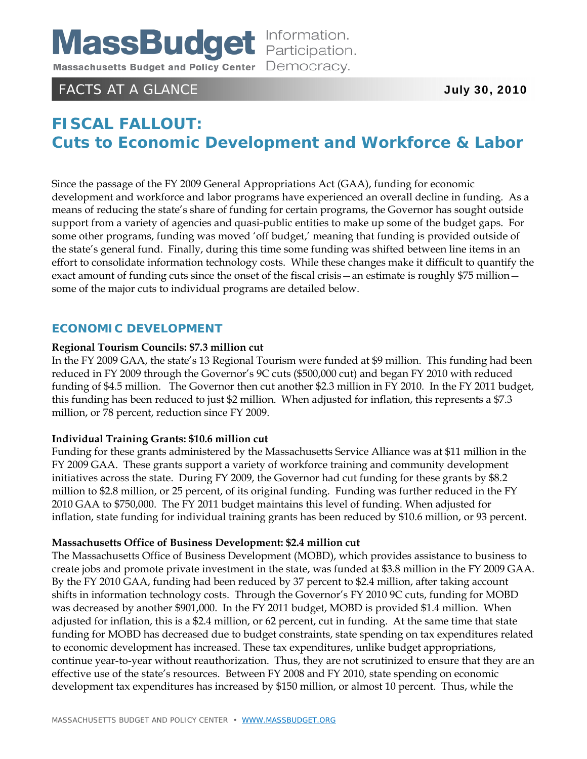

# FACTS AT A GLANCE **The CONTRACTS AT A GLANCE**  $\overline{J}$  and  $\overline{J}$  and  $\overline{J}$  and  $\overline{J}$  and  $\overline{J}$  and  $\overline{J}$  and  $\overline{J}$  and  $\overline{J}$  and  $\overline{J}$  and  $\overline{J}$  and  $\overline{J}$  and  $\overline{J}$  and  $\overline{J}$  and  $\overline{J}$

# **FISCAL FALLOUT: Cuts to Economic Development and Workforce & Labor**

Since the passage of the FY 2009 General Appropriations Act (GAA), funding for economic development and workforce and labor programs have experienced an overall decline in funding. As a means of reducing the state's share of funding for certain programs, the Governor has sought outside support from a variety of agencies and quasi-public entities to make up some of the budget gaps. For some other programs, funding was moved 'off budget,' meaning that funding is provided outside of the state's general fund. Finally, during this time some funding was shifted between line items in an effort to consolidate information technology costs. While these changes make it difficult to quantify the exact amount of funding cuts since the onset of the fiscal crisis—an estimate is roughly \$75 million some of the major cuts to individual programs are detailed below.

### **ECONOMIC DEVELOPMENT**

#### **Regional Tourism Councils: \$7.3 million cut**

In the FY 2009 GAA, the state's 13 Regional Tourism were funded at \$9 million. This funding had been reduced in FY 2009 through the Governor's 9C cuts (\$500,000 cut) and began FY 2010 with reduced funding of \$4.5 million. The Governor then cut another \$2.3 million in FY 2010. In the FY 2011 budget, this funding has been reduced to just \$2 million. When adjusted for inflation, this represents a \$7.3 million, or 78 percent, reduction since FY 2009.

#### **Individual Training Grants: \$10.6 million cut**

Funding for these grants administered by the Massachusetts Service Alliance was at \$11 million in the FY 2009 GAA. These grants support a variety of workforce training and community development initiatives across the state. During FY 2009, the Governor had cut funding for these grants by \$8.2 million to \$2.8 million, or 25 percent, of its original funding. Funding was further reduced in the FY 2010 GAA to \$750,000. The FY 2011 budget maintains this level of funding. When adjusted for inflation, state funding for individual training grants has been reduced by \$10.6 million, or 93 percent.

#### **Massachusetts Office of Business Development: \$2.4 million cut**

The Massachusetts Office of Business Development (MOBD), which provides assistance to business to create jobs and promote private investment in the state, was funded at \$3.8 million in the FY 2009 GAA. By the FY 2010 GAA, funding had been reduced by 37 percent to \$2.4 million, after taking account shifts in information technology costs. Through the Governor's FY 2010 9C cuts, funding for MOBD was decreased by another \$901,000. In the FY 2011 budget, MOBD is provided \$1.4 million. When adjusted for inflation, this is a \$2.4 million, or 62 percent, cut in funding. At the same time that state funding for MOBD has decreased due to budget constraints, state spending on tax expenditures related to economic development has increased. These tax expenditures, unlike budget appropriations, continue year-to-year without reauthorization. Thus, they are not scrutinized to ensure that they are an effective use of the state's resources. Between FY 2008 and FY 2010, state spending on economic development tax expenditures has increased by \$150 million, or almost 10 percent. Thus, while the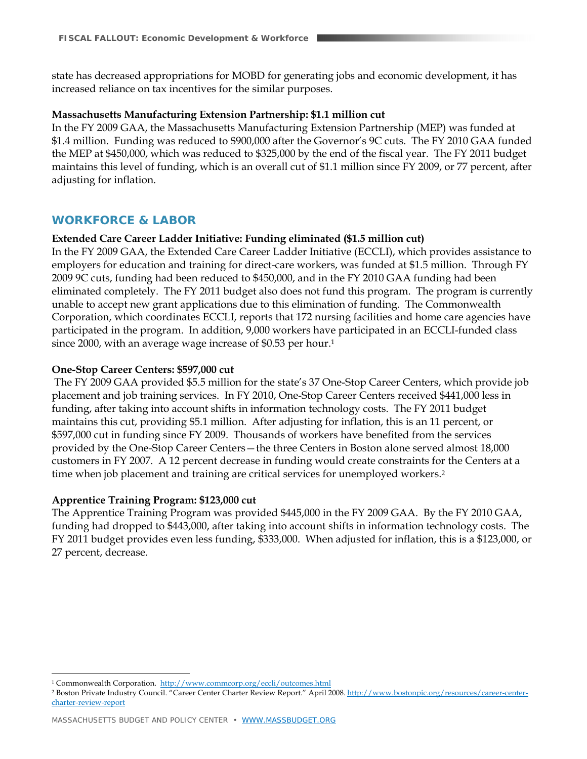state has decreased appropriations for MOBD for generating jobs and economic development, it has increased reliance on tax incentives for the similar purposes.

#### **Massachusetts Manufacturing Extension Partnership: \$1.1 million cut**

In the FY 2009 GAA, the Massachusetts Manufacturing Extension Partnership (MEP) was funded at \$1.4 million. Funding was reduced to \$900,000 after the Governor's 9C cuts. The FY 2010 GAA funded the MEP at \$450,000, which was reduced to \$325,000 by the end of the fiscal year. The FY 2011 budget maintains this level of funding, which is an overall cut of \$1.1 million since FY 2009, or 77 percent, after adjusting for inflation.

#### **WORKFORCE & LABOR**

#### **Extended Care Career Ladder Initiative: Funding eliminated (\$1.5 million cut)**

In the FY 2009 GAA, the Extended Care Career Ladder Initiative (ECCLI), which provides assistance to employers for education and training for direct-care workers, was funded at \$1.5 million. Through FY 2009 9C cuts, funding had been reduced to \$450,000, and in the FY 2010 GAA funding had been eliminated completely. The FY 2011 budget also does not fund this program. The program is currently unable to accept new grant applications due to this elimination of funding. The Commonwealth Corporation, which coordinates ECCLI, reports that 172 nursing facilities and home care agencies have participated in the program. In addition, 9,000 workers have participated in an ECCLI-funded class since 2000, with an average wage increase of \$0.53 per hour.<sup>1</sup>

#### **One-Stop Career Centers: \$597,000 cut**

 The FY 2009 GAA provided \$5.5 million for the state's 37 One-Stop Career Centers, which provide job placement and job training services. In FY 2010, One-Stop Career Centers received \$441,000 less in funding, after taking into account shifts in information technology costs. The FY 2011 budget maintains this cut, providing \$5.1 million. After adjusting for inflation, this is an 11 percent, or \$597,000 cut in funding since FY 2009. Thousands of workers have benefited from the services provided by the One-Stop Career Centers—the three Centers in Boston alone served almost 18,000 customers in FY 2007. A 12 percent decrease in funding would create constraints for the Centers at a time when job placement and training are critical services for unemployed workers.2

#### **Apprentice Training Program: \$123,000 cut**

The Apprentice Training Program was provided \$445,000 in the FY 2009 GAA. By the FY 2010 GAA, funding had dropped to \$443,000, after taking into account shifts in information technology costs. The FY 2011 budget provides even less funding, \$333,000. When adjusted for inflation, this is a \$123,000, or 27 percent, decrease.

 $\overline{a}$ 1 Commonwealth Corporation. http://www.commcorp.org/eccli/outcomes.html

<sup>2</sup> Boston Private Industry Council. "Career Center Charter Review Report." April 2008. http://www.bostonpic.org/resources/career-centercharter-review-report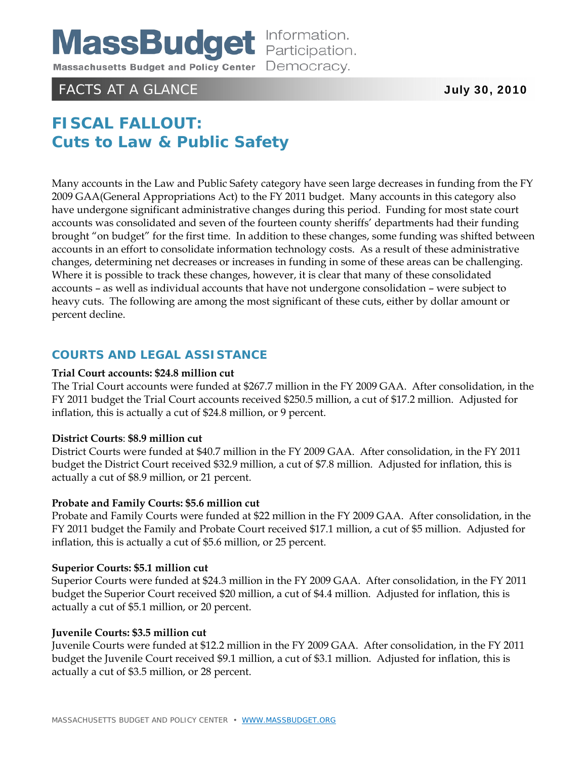

# FACTS AT A GLANCE **July 30, 2010**

# **FISCAL FALLOUT: Cuts to Law & Public Safety**

Many accounts in the Law and Public Safety category have seen large decreases in funding from the FY 2009 GAA(General Appropriations Act) to the FY 2011 budget. Many accounts in this category also have undergone significant administrative changes during this period. Funding for most state court accounts was consolidated and seven of the fourteen county sheriffs' departments had their funding brought "on budget" for the first time. In addition to these changes, some funding was shifted between accounts in an effort to consolidate information technology costs. As a result of these administrative changes, determining net decreases or increases in funding in some of these areas can be challenging. Where it is possible to track these changes, however, it is clear that many of these consolidated accounts – as well as individual accounts that have not undergone consolidation – were subject to heavy cuts. The following are among the most significant of these cuts, either by dollar amount or percent decline.

### **COURTS AND LEGAL ASSISTANCE**

#### **Trial Court accounts: \$24.8 million cut**

The Trial Court accounts were funded at \$267.7 million in the FY 2009 GAA. After consolidation, in the FY 2011 budget the Trial Court accounts received \$250.5 million, a cut of \$17.2 million. Adjusted for inflation, this is actually a cut of \$24.8 million, or 9 percent.

#### **District Courts**: **\$8.9 million cut**

District Courts were funded at \$40.7 million in the FY 2009 GAA. After consolidation, in the FY 2011 budget the District Court received \$32.9 million, a cut of \$7.8 million. Adjusted for inflation, this is actually a cut of \$8.9 million, or 21 percent.

#### **Probate and Family Courts: \$5.6 million cut**

Probate and Family Courts were funded at \$22 million in the FY 2009 GAA. After consolidation, in the FY 2011 budget the Family and Probate Court received \$17.1 million, a cut of \$5 million. Adjusted for inflation, this is actually a cut of \$5.6 million, or 25 percent.

#### **Superior Courts: \$5.1 million cut**

Superior Courts were funded at \$24.3 million in the FY 2009 GAA. After consolidation, in the FY 2011 budget the Superior Court received \$20 million, a cut of \$4.4 million. Adjusted for inflation, this is actually a cut of \$5.1 million, or 20 percent.

#### **Juvenile Courts: \$3.5 million cut**

Juvenile Courts were funded at \$12.2 million in the FY 2009 GAA. After consolidation, in the FY 2011 budget the Juvenile Court received \$9.1 million, a cut of \$3.1 million. Adjusted for inflation, this is actually a cut of \$3.5 million, or 28 percent.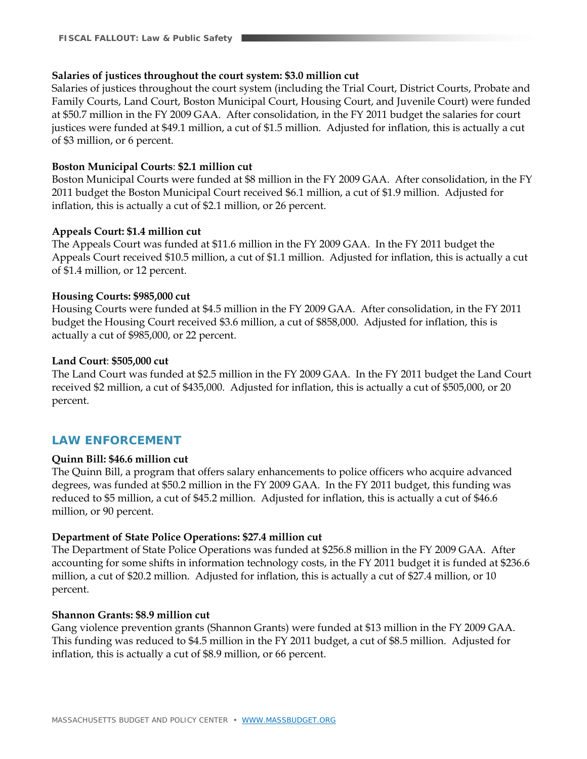#### **Salaries of justices throughout the court system: \$3.0 million cut**

Salaries of justices throughout the court system (including the Trial Court, District Courts, Probate and Family Courts, Land Court, Boston Municipal Court, Housing Court, and Juvenile Court) were funded at \$50.7 million in the FY 2009 GAA. After consolidation, in the FY 2011 budget the salaries for court justices were funded at \$49.1 million, a cut of \$1.5 million. Adjusted for inflation, this is actually a cut of \$3 million, or 6 percent.

#### **Boston Municipal Courts**: **\$2.1 million cut**

Boston Municipal Courts were funded at \$8 million in the FY 2009 GAA. After consolidation, in the FY 2011 budget the Boston Municipal Court received \$6.1 million, a cut of \$1.9 million. Adjusted for inflation, this is actually a cut of \$2.1 million, or 26 percent.

#### **Appeals Court: \$1.4 million cut**

The Appeals Court was funded at \$11.6 million in the FY 2009 GAA. In the FY 2011 budget the Appeals Court received \$10.5 million, a cut of \$1.1 million. Adjusted for inflation, this is actually a cut of \$1.4 million, or 12 percent.

#### **Housing Courts: \$985,000 cut**

Housing Courts were funded at \$4.5 million in the FY 2009 GAA. After consolidation, in the FY 2011 budget the Housing Court received \$3.6 million, a cut of \$858,000. Adjusted for inflation, this is actually a cut of \$985,000, or 22 percent.

#### **Land Court**: **\$505,000 cut**

The Land Court was funded at \$2.5 million in the FY 2009 GAA. In the FY 2011 budget the Land Court received \$2 million, a cut of \$435,000. Adjusted for inflation, this is actually a cut of \$505,000, or 20 percent.

#### **LAW ENFORCEMENT**

#### **Quinn Bill: \$46.6 million cut**

The Quinn Bill, a program that offers salary enhancements to police officers who acquire advanced degrees, was funded at \$50.2 million in the FY 2009 GAA. In the FY 2011 budget, this funding was reduced to \$5 million, a cut of \$45.2 million. Adjusted for inflation, this is actually a cut of \$46.6 million, or 90 percent.

#### **Department of State Police Operations: \$27.4 million cut**

The Department of State Police Operations was funded at \$256.8 million in the FY 2009 GAA. After accounting for some shifts in information technology costs, in the FY 2011 budget it is funded at \$236.6 million, a cut of \$20.2 million. Adjusted for inflation, this is actually a cut of \$27.4 million, or 10 percent.

#### **Shannon Grants: \$8.9 million cut**

Gang violence prevention grants (Shannon Grants) were funded at \$13 million in the FY 2009 GAA. This funding was reduced to \$4.5 million in the FY 2011 budget, a cut of \$8.5 million. Adjusted for inflation, this is actually a cut of \$8.9 million, or 66 percent.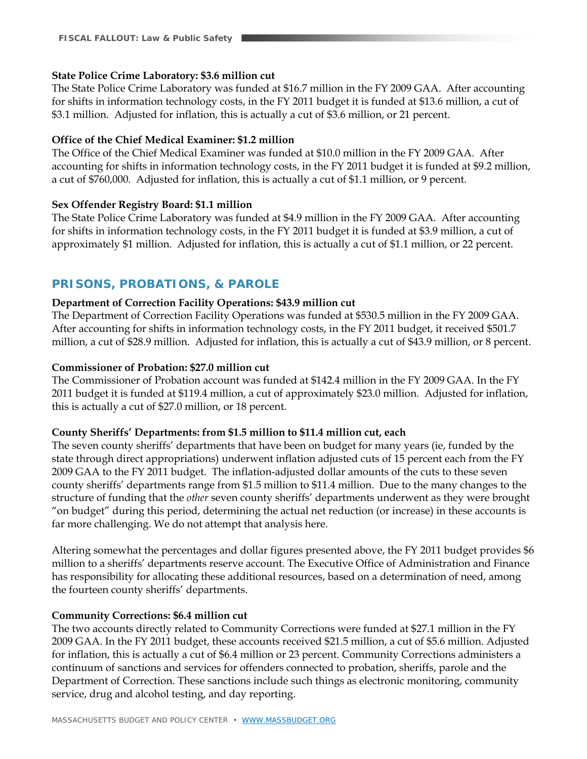#### **State Police Crime Laboratory: \$3.6 million cut**

The State Police Crime Laboratory was funded at \$16.7 million in the FY 2009 GAA. After accounting for shifts in information technology costs, in the FY 2011 budget it is funded at \$13.6 million, a cut of \$3.1 million. Adjusted for inflation, this is actually a cut of \$3.6 million, or 21 percent.

#### **Office of the Chief Medical Examiner: \$1.2 million**

The Office of the Chief Medical Examiner was funded at \$10.0 million in the FY 2009 GAA. After accounting for shifts in information technology costs, in the FY 2011 budget it is funded at \$9.2 million, a cut of \$760,000. Adjusted for inflation, this is actually a cut of \$1.1 million, or 9 percent.

#### **Sex Offender Registry Board: \$1.1 million**

The State Police Crime Laboratory was funded at \$4.9 million in the FY 2009 GAA. After accounting for shifts in information technology costs, in the FY 2011 budget it is funded at \$3.9 million, a cut of approximately \$1 million. Adjusted for inflation, this is actually a cut of \$1.1 million, or 22 percent.

### **PRISONS, PROBATIONS, & PAROLE**

#### **Department of Correction Facility Operations: \$43.9 million cut**

The Department of Correction Facility Operations was funded at \$530.5 million in the FY 2009 GAA. After accounting for shifts in information technology costs, in the FY 2011 budget, it received \$501.7 million, a cut of \$28.9 million. Adjusted for inflation, this is actually a cut of \$43.9 million, or 8 percent.

#### **Commissioner of Probation: \$27.0 million cut**

The Commissioner of Probation account was funded at \$142.4 million in the FY 2009 GAA. In the FY 2011 budget it is funded at \$119.4 million, a cut of approximately \$23.0 million. Adjusted for inflation, this is actually a cut of \$27.0 million, or 18 percent.

#### **County Sheriffs' Departments: from \$1.5 million to \$11.4 million cut, each**

The seven county sheriffs' departments that have been on budget for many years (ie, funded by the state through direct appropriations) underwent inflation adjusted cuts of 15 percent each from the FY 2009 GAA to the FY 2011 budget. The inflation-adjusted dollar amounts of the cuts to these seven county sheriffs' departments range from \$1.5 million to \$11.4 million. Due to the many changes to the structure of funding that the *other* seven county sheriffs' departments underwent as they were brought "on budget" during this period, determining the actual net reduction (or increase) in these accounts is far more challenging. We do not attempt that analysis here.

Altering somewhat the percentages and dollar figures presented above, the FY 2011 budget provides \$6 million to a sheriffs' departments reserve account. The Executive Office of Administration and Finance has responsibility for allocating these additional resources, based on a determination of need, among the fourteen county sheriffs' departments.

#### **Community Corrections: \$6.4 million cut**

The two accounts directly related to Community Corrections were funded at \$27.1 million in the FY 2009 GAA. In the FY 2011 budget, these accounts received \$21.5 million, a cut of \$5.6 million. Adjusted for inflation, this is actually a cut of \$6.4 million or 23 percent. Community Corrections administers a continuum of sanctions and services for offenders connected to probation, sheriffs, parole and the Department of Correction. These sanctions include such things as electronic monitoring, community service, drug and alcohol testing, and day reporting.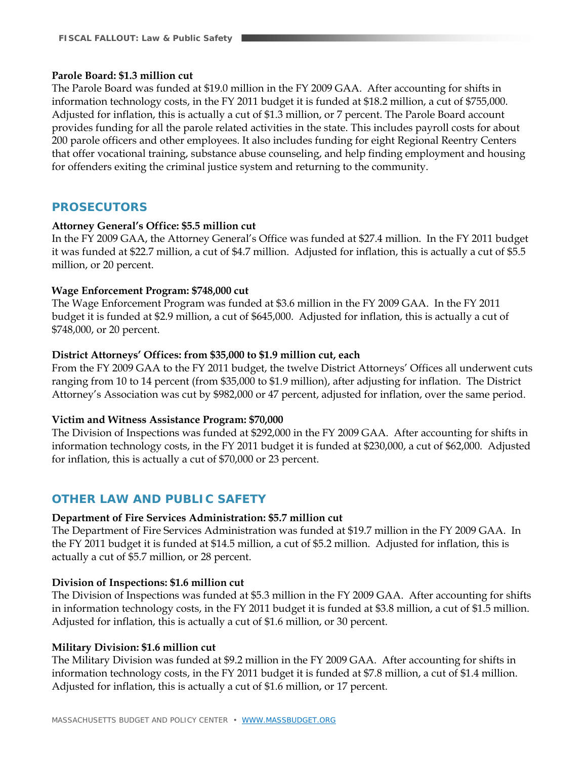#### **Parole Board: \$1.3 million cut**

The Parole Board was funded at \$19.0 million in the FY 2009 GAA. After accounting for shifts in information technology costs, in the FY 2011 budget it is funded at \$18.2 million, a cut of \$755,000. Adjusted for inflation, this is actually a cut of \$1.3 million, or 7 percent. The Parole Board account provides funding for all the parole related activities in the state. This includes payroll costs for about 200 parole officers and other employees. It also includes funding for eight Regional Reentry Centers that offer vocational training, substance abuse counseling, and help finding employment and housing for offenders exiting the criminal justice system and returning to the community.

#### **PROSECUTORS**

#### **Attorney General's Office: \$5.5 million cut**

In the FY 2009 GAA, the Attorney General's Office was funded at \$27.4 million. In the FY 2011 budget it was funded at \$22.7 million, a cut of \$4.7 million. Adjusted for inflation, this is actually a cut of \$5.5 million, or 20 percent.

#### **Wage Enforcement Program: \$748,000 cut**

The Wage Enforcement Program was funded at \$3.6 million in the FY 2009 GAA. In the FY 2011 budget it is funded at \$2.9 million, a cut of \$645,000. Adjusted for inflation, this is actually a cut of \$748,000, or 20 percent.

#### **District Attorneys' Offices: from \$35,000 to \$1.9 million cut, each**

From the FY 2009 GAA to the FY 2011 budget, the twelve District Attorneys' Offices all underwent cuts ranging from 10 to 14 percent (from \$35,000 to \$1.9 million), after adjusting for inflation. The District Attorney's Association was cut by \$982,000 or 47 percent, adjusted for inflation, over the same period.

#### **Victim and Witness Assistance Program: \$70,000**

The Division of Inspections was funded at \$292,000 in the FY 2009 GAA. After accounting for shifts in information technology costs, in the FY 2011 budget it is funded at \$230,000, a cut of \$62,000. Adjusted for inflation, this is actually a cut of \$70,000 or 23 percent.

#### **OTHER LAW AND PUBLIC SAFETY**

#### **Department of Fire Services Administration: \$5.7 million cut**

The Department of Fire Services Administration was funded at \$19.7 million in the FY 2009 GAA. In the FY 2011 budget it is funded at \$14.5 million, a cut of \$5.2 million. Adjusted for inflation, this is actually a cut of \$5.7 million, or 28 percent.

#### **Division of Inspections: \$1.6 million cut**

The Division of Inspections was funded at \$5.3 million in the FY 2009 GAA. After accounting for shifts in information technology costs, in the FY 2011 budget it is funded at \$3.8 million, a cut of \$1.5 million. Adjusted for inflation, this is actually a cut of \$1.6 million, or 30 percent.

#### **Military Division: \$1.6 million cut**

The Military Division was funded at \$9.2 million in the FY 2009 GAA. After accounting for shifts in information technology costs, in the FY 2011 budget it is funded at \$7.8 million, a cut of \$1.4 million. Adjusted for inflation, this is actually a cut of \$1.6 million, or 17 percent.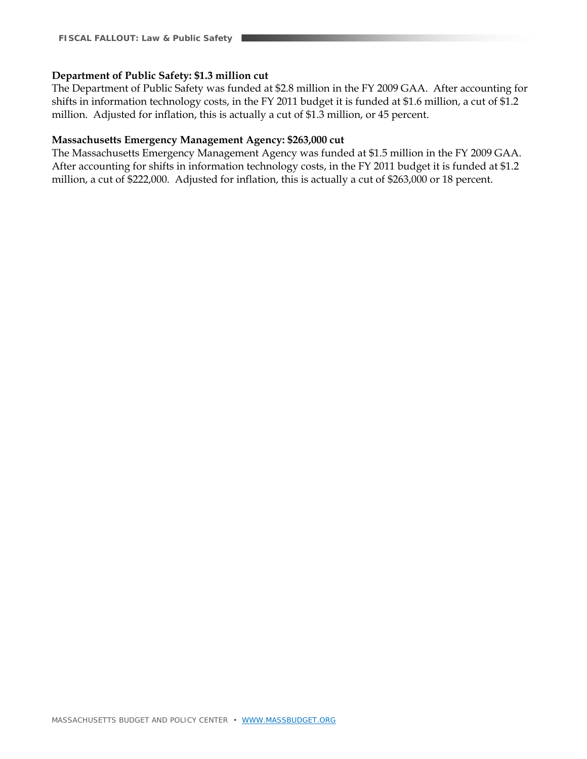#### **Department of Public Safety: \$1.3 million cut**

The Department of Public Safety was funded at \$2.8 million in the FY 2009 GAA. After accounting for shifts in information technology costs, in the FY 2011 budget it is funded at \$1.6 million, a cut of \$1.2 million. Adjusted for inflation, this is actually a cut of \$1.3 million, or 45 percent.

#### **Massachusetts Emergency Management Agency: \$263,000 cut**

The Massachusetts Emergency Management Agency was funded at \$1.5 million in the FY 2009 GAA. After accounting for shifts in information technology costs, in the FY 2011 budget it is funded at \$1.2 million, a cut of \$222,000. Adjusted for inflation, this is actually a cut of \$263,000 or 18 percent.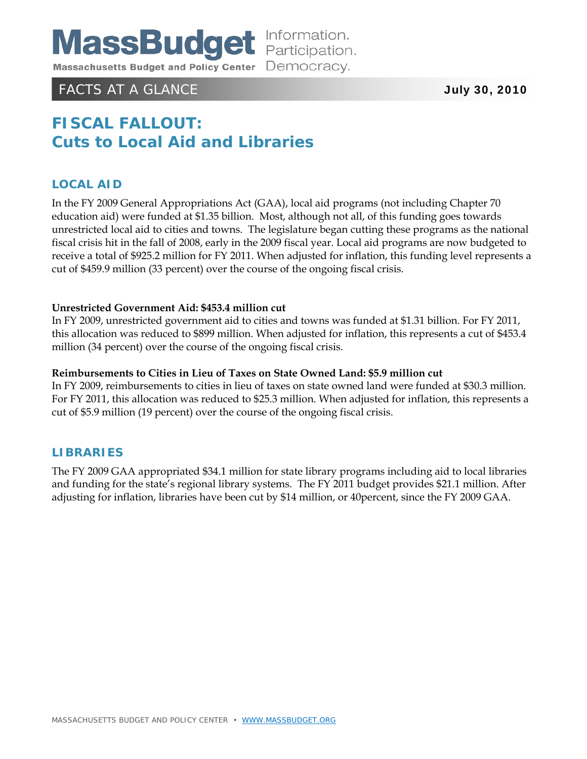

# FACTS AT A GLANCE **July 30, 2010**

# **FISCAL FALLOUT: Cuts to Local Aid and Libraries**

### **LOCAL AID**

In the FY 2009 General Appropriations Act (GAA), local aid programs (not including Chapter 70 education aid) were funded at \$1.35 billion. Most, although not all, of this funding goes towards unrestricted local aid to cities and towns. The legislature began cutting these programs as the national fiscal crisis hit in the fall of 2008, early in the 2009 fiscal year. Local aid programs are now budgeted to receive a total of \$925.2 million for FY 2011. When adjusted for inflation, this funding level represents a cut of \$459.9 million (33 percent) over the course of the ongoing fiscal crisis.

#### **Unrestricted Government Aid: \$453.4 million cut**

In FY 2009, unrestricted government aid to cities and towns was funded at \$1.31 billion. For FY 2011, this allocation was reduced to \$899 million. When adjusted for inflation, this represents a cut of \$453.4 million (34 percent) over the course of the ongoing fiscal crisis.

#### **Reimbursements to Cities in Lieu of Taxes on State Owned Land: \$5.9 million cut**

In FY 2009, reimbursements to cities in lieu of taxes on state owned land were funded at \$30.3 million. For FY 2011, this allocation was reduced to \$25.3 million. When adjusted for inflation, this represents a cut of \$5.9 million (19 percent) over the course of the ongoing fiscal crisis.

### **LIBRARIES**

The FY 2009 GAA appropriated \$34.1 million for state library programs including aid to local libraries and funding for the state's regional library systems. The FY 2011 budget provides \$21.1 million. After adjusting for inflation, libraries have been cut by \$14 million, or 40percent, since the FY 2009 GAA.